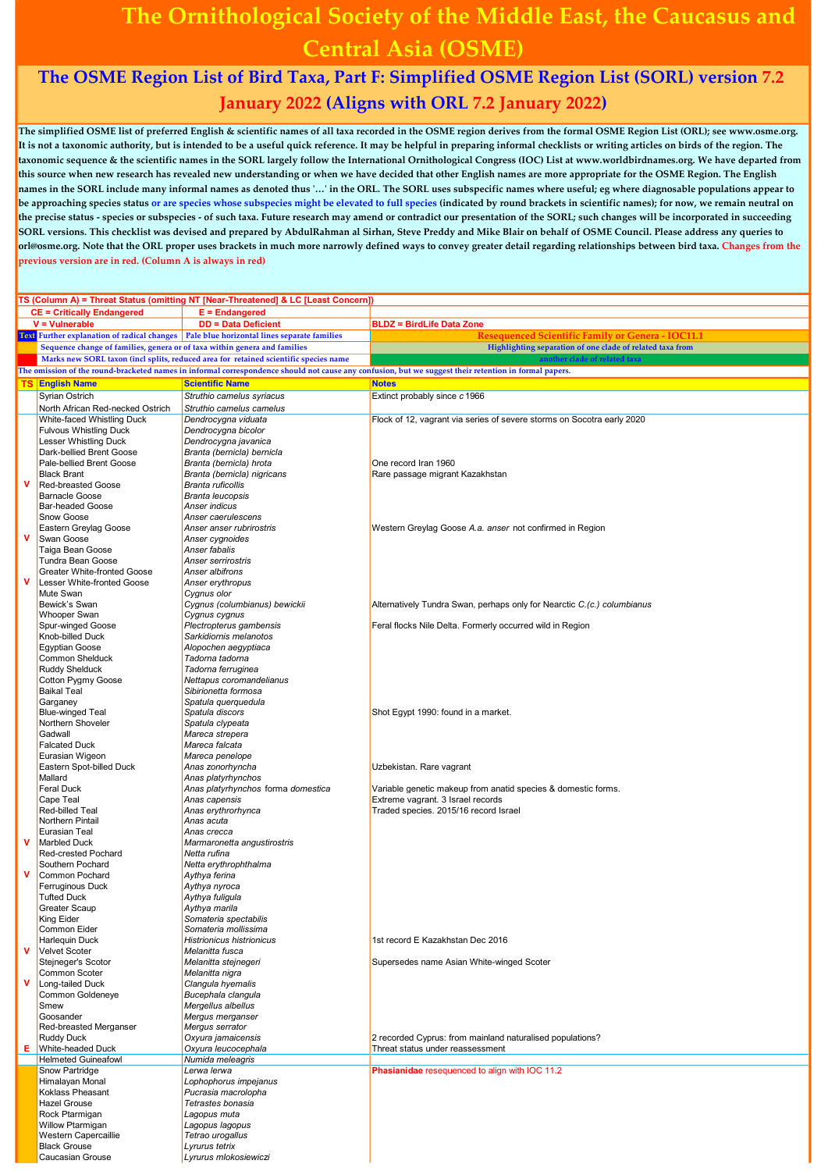## The Ornithological Society of the Middle East, the Caucasus and Central Asia (OSME)

## The OSME Region List of Bird Taxa, Part F: Simplified OSME Region List (SORL) version 7.2 January 2022 (Aligns with ORL 7.2 January 2022)

The simplified OSME list of preferred English & scientific names of all taxa recorded in the OSME region derives from the formal OSME Region List (ORL); see www.osme.org. It is not a taxonomic authority, but is intended to be a useful quick reference. It may be helpful in preparing informal checklists or writing articles on birds of the region. The taxonomic sequence & the scientific names in the SORL largely follow the International Ornithological Congress (IOC) List at www.worldbirdnames.org. We have departed from this source when new research has revealed new understanding or when we have decided that other English names are more appropriate for the OSME Region. The English names in the SORL include many informal names as denoted thus '…' in the ORL. The SORL uses subspecific names where useful; eg where diagnosable populations appear to be approaching species status or are species whose subspecies might be elevated to full species (indicated by round brackets in scientific names); for now, we remain neutral on the precise status - species or subspecies - of such taxa. Future research may amend or contradict our presentation of the SORL; such changes will be incorporated in succeeding SORL versions. This checklist was devised and prepared by AbdulRahman al Sirhan, Steve Preddy and Mike Blair on behalf of OSME Council. Please address any queries to orl@osme.org. Note that the ORL proper uses brackets in much more narrowly defined ways to convey greater detail regarding relationships between bird taxa. Changes from the previous version are in red. (Column A is always in red)

|           |                                                                           | TS (Column A) = Threat Status (omitting NT [Near-Threatened] & LC [Least Concern])         |                                                                                                                                                       |
|-----------|---------------------------------------------------------------------------|--------------------------------------------------------------------------------------------|-------------------------------------------------------------------------------------------------------------------------------------------------------|
|           | <b>CE = Critically Endangered</b>                                         | $E = End$ angered                                                                          |                                                                                                                                                       |
|           | $V =$ Vulnerable                                                          | <b>DD = Data Deficient</b>                                                                 | <b>BLDZ = BirdLife Data Zone</b>                                                                                                                      |
|           |                                                                           | Text Further explanation of radical changes   Pale blue horizontal lines separate families | Resequenced Scientific Family or Genera - IOC11.1                                                                                                     |
|           | Sequence change of families, genera or of taxa within genera and families |                                                                                            | Highlighting separation of one clade of related taxa from                                                                                             |
|           |                                                                           | Marks new SORL taxon (incl splits, reduced area for retained scientific species name       | another clade of related taxa                                                                                                                         |
|           |                                                                           |                                                                                            | The omission of the round-bracketed names in informal correspondence should not cause any confusion, but we suggest their retention in formal papers. |
|           |                                                                           |                                                                                            |                                                                                                                                                       |
| <b>TS</b> | <b>English Name</b>                                                       | <b>Scientific Name</b>                                                                     | <b>Notes</b>                                                                                                                                          |
|           | Syrian Ostrich                                                            | Struthio camelus syriacus                                                                  | Extinct probably since c 1966                                                                                                                         |
|           | North African Red-necked Ostrich                                          | Struthio camelus camelus                                                                   |                                                                                                                                                       |
|           | White-faced Whistling Duck                                                | Dendrocygna viduata                                                                        | Flock of 12, vagrant via series of severe storms on Socotra early 2020                                                                                |
|           | <b>Fulvous Whistling Duck</b>                                             | Dendrocygna bicolor                                                                        |                                                                                                                                                       |
|           | Lesser Whistling Duck                                                     | Dendrocygna javanica                                                                       |                                                                                                                                                       |
|           | Dark-bellied Brent Goose                                                  | Branta (bernicla) bernicla                                                                 |                                                                                                                                                       |
|           | Pale-bellied Brent Goose                                                  | Branta (bernicla) hrota                                                                    | One record Iran 1960                                                                                                                                  |
|           | <b>Black Brant</b>                                                        | Branta (bernicla) nigricans                                                                | Rare passage migrant Kazakhstan                                                                                                                       |
| v         | <b>Red-breasted Goose</b>                                                 | Branta ruficollis                                                                          |                                                                                                                                                       |
|           | <b>Barnacle Goose</b>                                                     | <b>Branta leucopsis</b>                                                                    |                                                                                                                                                       |
|           | <b>Bar-headed Goose</b>                                                   | Anser indicus                                                                              |                                                                                                                                                       |
|           | Snow Goose                                                                | Anser caerulescens                                                                         |                                                                                                                                                       |
|           | Eastern Greylag Goose                                                     | Anser anser rubrirostris                                                                   | Western Greylag Goose A.a. anser not confirmed in Region                                                                                              |
| v         | Swan Goose                                                                | Anser cygnoides                                                                            |                                                                                                                                                       |
|           | Taiga Bean Goose                                                          | Anser fabalis                                                                              |                                                                                                                                                       |
|           | Tundra Bean Goose                                                         | Anser serrirostris                                                                         |                                                                                                                                                       |
|           | <b>Greater White-fronted Goose</b>                                        | Anser albifrons                                                                            |                                                                                                                                                       |
| v         | Lesser White-fronted Goose                                                | Anser erythropus                                                                           |                                                                                                                                                       |
|           | Mute Swan                                                                 | Cygnus olor                                                                                |                                                                                                                                                       |
|           | Bewick's Swan                                                             | Cygnus (columbianus) bewickii                                                              | Alternatively Tundra Swan, perhaps only for Nearctic C.(c.) columbianus                                                                               |
|           | <b>Whooper Swan</b>                                                       | Cygnus cygnus                                                                              |                                                                                                                                                       |
|           | Spur-winged Goose                                                         | Plectropterus gambensis                                                                    | Feral flocks Nile Delta. Formerly occurred wild in Region                                                                                             |
|           | Knob-billed Duck                                                          | Sarkidiornis melanotos                                                                     |                                                                                                                                                       |
|           | <b>Egyptian Goose</b>                                                     | Alopochen aegyptiaca                                                                       |                                                                                                                                                       |
|           | Common Shelduck                                                           | Tadorna tadorna                                                                            |                                                                                                                                                       |
|           | <b>Ruddy Shelduck</b>                                                     | Tadorna ferruginea                                                                         |                                                                                                                                                       |
|           | Cotton Pygmy Goose                                                        | Nettapus coromandelianus                                                                   |                                                                                                                                                       |
|           | <b>Baikal Teal</b>                                                        | Sibirionetta formosa                                                                       |                                                                                                                                                       |
|           | Garganey                                                                  | Spatula querquedula                                                                        |                                                                                                                                                       |
|           | <b>Blue-winged Teal</b>                                                   | Spatula discors                                                                            | Shot Egypt 1990: found in a market.                                                                                                                   |
|           | Northern Shoveler                                                         | Spatula clypeata                                                                           |                                                                                                                                                       |
|           | Gadwall                                                                   | Mareca strepera                                                                            |                                                                                                                                                       |
|           | <b>Falcated Duck</b>                                                      | Mareca falcata                                                                             |                                                                                                                                                       |
|           | Eurasian Wigeon                                                           | Mareca penelope                                                                            |                                                                                                                                                       |
|           | Eastern Spot-billed Duck                                                  | Anas zonorhyncha                                                                           | Uzbekistan. Rare vagrant                                                                                                                              |
|           | Mallard                                                                   | Anas platyrhynchos                                                                         |                                                                                                                                                       |
|           | <b>Feral Duck</b>                                                         | Anas platyrhynchos forma domestica                                                         | Variable genetic makeup from anatid species & domestic forms.                                                                                         |
|           | Cape Teal                                                                 | Anas capensis                                                                              | Extreme vagrant. 3 Israel records                                                                                                                     |
|           | <b>Red-billed Teal</b>                                                    | Anas erythrorhynca                                                                         | Traded species. 2015/16 record Israel                                                                                                                 |
|           | <b>Northern Pintail</b>                                                   | Anas acuta                                                                                 |                                                                                                                                                       |
|           | <b>Eurasian Teal</b>                                                      | Anas crecca                                                                                |                                                                                                                                                       |
| ۷         | <b>Marbled Duck</b>                                                       | Marmaronetta angustirostris                                                                |                                                                                                                                                       |
|           | Red-crested Pochard                                                       | Netta rufina                                                                               |                                                                                                                                                       |
|           | Southern Pochard                                                          | Netta erythrophthalma                                                                      |                                                                                                                                                       |
| v         | <b>Common Pochard</b>                                                     | Aythya ferina                                                                              |                                                                                                                                                       |
|           | <b>Ferruginous Duck</b>                                                   | Aythya nyroca                                                                              |                                                                                                                                                       |
|           | <b>Tufted Duck</b>                                                        | Aythya fuligula                                                                            |                                                                                                                                                       |
|           | Greater Scaup                                                             | Aythya marila                                                                              |                                                                                                                                                       |
|           | <b>King Eider</b>                                                         | Somateria spectabilis                                                                      |                                                                                                                                                       |
|           | Common Eider                                                              | Somateria mollissima                                                                       |                                                                                                                                                       |
|           | Harlequin Duck                                                            | <b>Histrionicus histrionicus</b>                                                           | 1st record E Kazakhstan Dec 2016                                                                                                                      |
| ۷         | <b>Velvet Scoter</b>                                                      | Melanitta fusca                                                                            |                                                                                                                                                       |
|           | Stejneger's Scotor                                                        | Melanitta stejnegeri                                                                       | Supersedes name Asian White-winged Scoter                                                                                                             |
|           | Common Scoter                                                             | Melanitta nigra                                                                            |                                                                                                                                                       |
| ۷         | Long-tailed Duck                                                          | Clangula hyemalis                                                                          |                                                                                                                                                       |
|           | Common Goldeneye                                                          | Bucephala clangula                                                                         |                                                                                                                                                       |
|           | Smew                                                                      | Mergellus albellus                                                                         |                                                                                                                                                       |
|           | Goosander                                                                 | Mergus merganser                                                                           |                                                                                                                                                       |
|           | Red-breasted Merganser                                                    | Mergus serrator                                                                            |                                                                                                                                                       |
|           | <b>Ruddy Duck</b>                                                         | Oxyura jamaicensis                                                                         | 2 recorded Cyprus: from mainland naturalised populations?                                                                                             |
| Е.        | <b>White-headed Duck</b>                                                  | Oxyura leucocephala                                                                        | Threat status under reassessment                                                                                                                      |
|           | <b>Helmeted Guineafowl</b>                                                | Numida meleagris                                                                           |                                                                                                                                                       |
|           | Snow Partridge                                                            | Lerwa lerwa                                                                                | Phasianidae resequenced to align with IOC 11.2                                                                                                        |
|           | Himalayan Monal                                                           | Lophophorus impejanus                                                                      |                                                                                                                                                       |
|           | Koklass Pheasant                                                          | Pucrasia macrolopha                                                                        |                                                                                                                                                       |
|           | <b>Hazel Grouse</b>                                                       | Tetrastes bonasia                                                                          |                                                                                                                                                       |
|           | Rock Ptarmigan                                                            | Lagopus muta                                                                               |                                                                                                                                                       |
|           | Willow Ptarmigan                                                          | Lagopus lagopus                                                                            |                                                                                                                                                       |
|           | Western Capercaillie                                                      | Tetrao urogallus                                                                           |                                                                                                                                                       |
|           | <b>Black Grouse</b>                                                       | Lyrurus tetrix                                                                             |                                                                                                                                                       |
|           | Caucasian Grouse                                                          | Lyrurus mlokosiewiczi                                                                      |                                                                                                                                                       |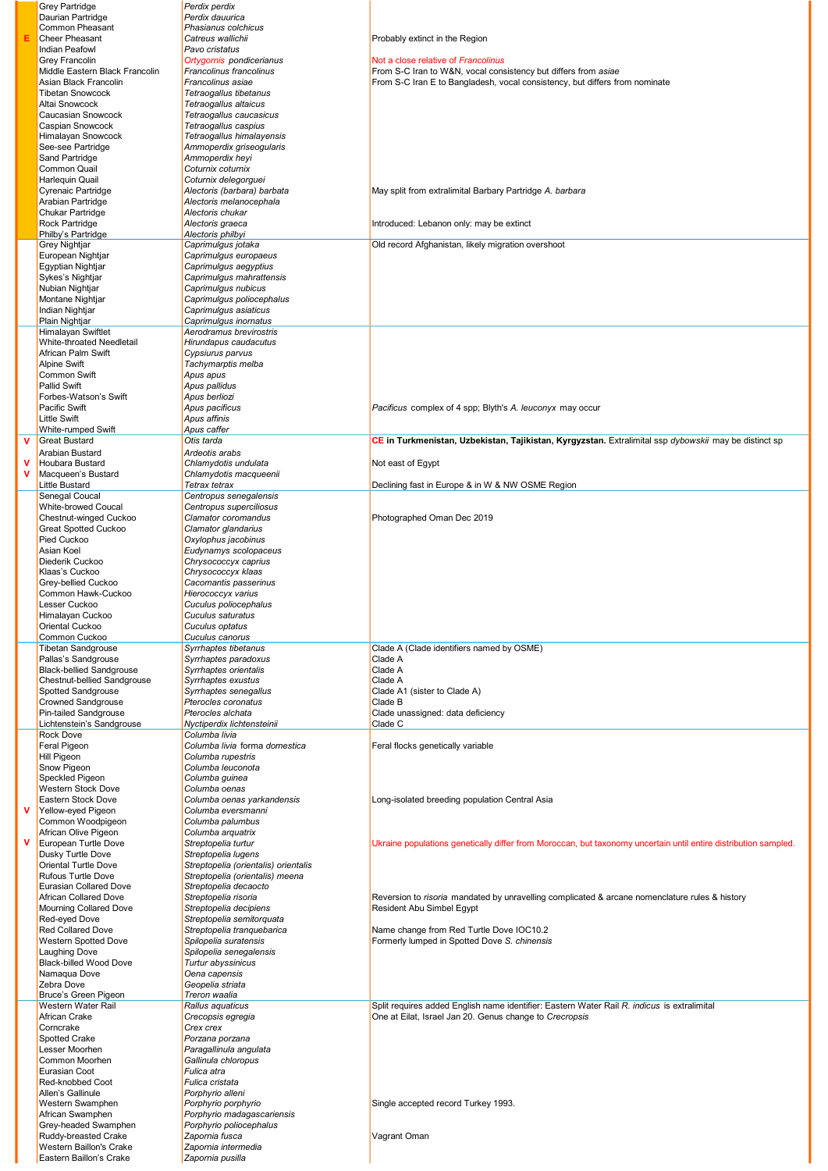|   | <b>Grey Partridge</b>                                    | Perdix perdix                                          |                                                                                                                 |
|---|----------------------------------------------------------|--------------------------------------------------------|-----------------------------------------------------------------------------------------------------------------|
|   | Daurian Partridge                                        | Perdix dauurica                                        |                                                                                                                 |
|   | Common Pheasant<br><b>Cheer Pheasant</b>                 | Phasianus colchicus<br>Catreus wallichii               | Probably extinct in the Region                                                                                  |
|   | <b>Indian Peafowl</b>                                    | Pavo cristatus                                         |                                                                                                                 |
|   | Grey Francolin                                           | Ortygornis pondicerianus                               | Not a close relative of Francolinus                                                                             |
|   | Middle Eastern Black Francolin                           | Francolinus francolinus                                | From S-C Iran to W&N, vocal consistency but differs from asiae                                                  |
|   | Asian Black Francolin                                    | Francolinus asiae                                      | From S-C Iran E to Bangladesh, vocal consistency, but differs from nominate                                     |
|   | <b>Tibetan Snowcock</b>                                  | Tetraogallus tibetanus                                 |                                                                                                                 |
|   | Altai Snowcock<br>Caucasian Snowcock                     | Tetraogallus altaicus<br>Tetraogallus caucasicus       |                                                                                                                 |
|   | Caspian Snowcock                                         | Tetraogallus caspius                                   |                                                                                                                 |
|   | Himalayan Snowcock                                       | Tetraogallus himalayensis                              |                                                                                                                 |
|   | See-see Partridge                                        | Ammoperdix griseogularis                               |                                                                                                                 |
|   | <b>Sand Partridge</b>                                    | Ammoperdix heyi                                        |                                                                                                                 |
|   | <b>Common Quail</b>                                      | Coturnix coturnix                                      |                                                                                                                 |
|   | Harlequin Quail                                          | Coturnix delegorguei                                   |                                                                                                                 |
|   | Cyrenaic Partridge<br>Arabian Partridge                  | Alectoris (barbara) barbata<br>Alectoris melanocephala | May split from extralimital Barbary Partridge A. barbara                                                        |
|   | Chukar Partridge                                         | Alectoris chukar                                       |                                                                                                                 |
|   | Rock Partridge                                           | Alectoris graeca                                       | Introduced: Lebanon only: may be extinct                                                                        |
|   | Philby's Partridge                                       | Alectoris philbyi                                      |                                                                                                                 |
|   | Grey Nightjar                                            | Caprimulgus jotaka                                     | Old record Afghanistan, likely migration overshoot                                                              |
|   | European Nightjar                                        | Caprimulgus europaeus                                  |                                                                                                                 |
|   | Egyptian Nightjar<br>Sykes's Nightjar                    | Caprimulgus aegyptius<br>Caprimulgus mahrattensis      |                                                                                                                 |
|   | Nubian Nightjar                                          | Caprimulgus nubicus                                    |                                                                                                                 |
|   | Montane Nightjar                                         | Caprimulgus poliocephalus                              |                                                                                                                 |
|   | Indian Nightjar                                          | Caprimulgus asiaticus                                  |                                                                                                                 |
|   | Plain Nightjar                                           | Caprimulgus inornatus                                  |                                                                                                                 |
|   | Himalayan Swiftlet                                       | Aerodramus brevirostris                                |                                                                                                                 |
|   | White-throated Needletail<br>African Palm Swift          | Hirundapus caudacutus<br>Cypsiurus parvus              |                                                                                                                 |
|   | <b>Alpine Swift</b>                                      | Tachymarptis melba                                     |                                                                                                                 |
|   | <b>Common Swift</b>                                      | Apus apus                                              |                                                                                                                 |
|   | Pallid Swift                                             | Apus pallidus                                          |                                                                                                                 |
|   | Forbes-Watson's Swift                                    | Apus berliozi                                          |                                                                                                                 |
|   | Pacific Swift                                            | Apus pacificus                                         | Pacificus complex of 4 spp; Blyth's A. leuconyx may occur                                                       |
|   | <b>Little Swift</b>                                      | Apus affinis                                           |                                                                                                                 |
|   | White-rumped Swift<br><b>Great Bustard</b>               | Apus caffer<br>Otis tarda                              | CE in Turkmenistan, Uzbekistan, Tajikistan, Kyrgyzstan. Extralimital ssp dybowskii may be distinct sp           |
| v | Arabian Bustard                                          | Ardeotis arabs                                         |                                                                                                                 |
| v | Houbara Bustard                                          | Chlamydotis undulata                                   | Not east of Egypt                                                                                               |
| v | Macqueen's Bustard                                       | Chlamydotis macqueenii                                 |                                                                                                                 |
|   | Little Bustard                                           | Tetrax tetrax                                          | Declining fast in Europe & in W & NW OSME Region                                                                |
|   | Senegal Coucal                                           | Centropus senegalensis                                 |                                                                                                                 |
|   | White-browed Coucal                                      | Centropus superciliosus                                |                                                                                                                 |
|   | Chestnut-winged Cuckoo<br>Great Spotted Cuckoo           | Clamator coromandus<br>Clamator glandarius             | Photographed Oman Dec 2019                                                                                      |
|   | Pied Cuckoo                                              | Oxylophus jacobinus                                    |                                                                                                                 |
|   | Asian Koel                                               | Eudynamys scolopaceus                                  |                                                                                                                 |
|   | Diederik Cuckoo                                          | Chrysococcyx caprius                                   |                                                                                                                 |
|   | Klaas's Cuckoo                                           | Chrysococcyx klaas                                     |                                                                                                                 |
|   | Grey-bellied Cuckoo                                      | Cacomantis passerinus                                  |                                                                                                                 |
|   | Common Hawk-Cuckoo<br>Lesser Cuckoo                      | Hierococcyx varius                                     |                                                                                                                 |
|   | Himalayan Cuckoo                                         | Cuculus poliocephalus<br>Cuculus saturatus             |                                                                                                                 |
|   | Oriental Cuckoo                                          | Cuculus optatus                                        |                                                                                                                 |
|   | Common Cuckoo                                            | Cuculus canorus                                        |                                                                                                                 |
|   | <b>Tibetan Sandgrouse</b>                                | Syrrhaptes tibetanus                                   | Clade A (Clade identifiers named by OSME)                                                                       |
|   | Pallas's Sandgrouse                                      | Syrrhaptes paradoxus                                   | Clade A                                                                                                         |
|   | <b>Black-bellied Sandgrouse</b>                          | Syrrhaptes orientalis                                  | Clade A                                                                                                         |
|   | <b>Chestnut-bellied Sandgrouse</b><br>Spotted Sandgrouse | Syrrhaptes exustus<br>Syrrhaptes senegallus            | Clade A<br>Clade A1 (sister to Clade A)                                                                         |
|   | <b>Crowned Sandgrouse</b>                                | Pterocles coronatus                                    | Clade B                                                                                                         |
|   | Pin-tailed Sandgrouse                                    | Pterocles alchata                                      | Clade unassigned: data deficiency                                                                               |
|   | Lichtenstein's Sandgrouse                                | Nyctiperdix lichtensteinii                             | Clade C                                                                                                         |
|   | Rock Dove                                                | Columba livia                                          |                                                                                                                 |
|   | Feral Pigeon                                             | Columba livia forma domestica                          | Feral flocks genetically variable                                                                               |
|   | Hill Pigeon<br>Snow Pigeon                               | Columba rupestris<br>Columba leuconota                 |                                                                                                                 |
|   | Speckled Pigeon                                          | Columba guinea                                         |                                                                                                                 |
|   | Western Stock Dove                                       | Columba oenas                                          |                                                                                                                 |
|   | Eastern Stock Dove                                       | Columba oenas yarkandensis                             | Long-isolated breeding population Central Asia                                                                  |
| v | Yellow-eyed Pigeon                                       | Columba eversmanni                                     |                                                                                                                 |
|   | Common Woodpigeon                                        | Columba palumbus                                       |                                                                                                                 |
| v | African Olive Pigeon<br>European Turtle Dove             | Columba arquatrix<br>Streptopelia turtur               | Ukraine populations genetically differ from Moroccan, but taxonomy uncertain until entire distribution sampled. |
|   | Dusky Turtle Dove                                        | Streptopelia lugens                                    |                                                                                                                 |
|   | Oriental Turtle Dove                                     | Streptopelia (orientalis) orientalis                   |                                                                                                                 |
|   | <b>Rufous Turtle Dove</b>                                | Streptopelia (orientalis) meena                        |                                                                                                                 |
|   | <b>Eurasian Collared Dove</b>                            | Streptopelia decaocto                                  |                                                                                                                 |
|   | African Collared Dove                                    | Streptopelia risoria                                   | Reversion to risoria mandated by unravelling complicated & arcane nomenclature rules & history                  |
|   | <b>Mourning Collared Dove</b><br>Red-eyed Dove           | Streptopelia decipiens<br>Streptopelia semitorquata    | Resident Abu Simbel Egypt                                                                                       |
|   | <b>Red Collared Dove</b>                                 | Streptopelia tranquebarica                             | Name change from Red Turtle Dove IOC10.2                                                                        |
|   | Western Spotted Dove                                     | Spilopelia suratensis                                  | Formerly lumped in Spotted Dove S. chinensis                                                                    |
|   | Laughing Dove                                            | Spilopelia senegalensis                                |                                                                                                                 |
|   | <b>Black-billed Wood Dove</b>                            | Turtur abyssinicus                                     |                                                                                                                 |
|   | Namaqua Dove                                             | Oena capensis                                          |                                                                                                                 |
|   | Zebra Dove                                               | Geopelia striata                                       |                                                                                                                 |
|   | Bruce's Green Pigeon<br>Western Water Rail               | Treron waalia<br>Rallus aquaticus                      | Split requires added English name identifier: Eastern Water Rail R. indicus is extralimital                     |
|   | African Crake                                            | Crecopsis egregia                                      | One at Eilat, Israel Jan 20. Genus change to Crecropsis                                                         |
|   | Corncrake                                                | Crex crex                                              |                                                                                                                 |
|   | <b>Spotted Crake</b>                                     | Porzana porzana                                        |                                                                                                                 |
|   | Lesser Moorhen                                           | Paragallinula angulata                                 |                                                                                                                 |
|   | Common Moorhen                                           | Gallinula chloropus                                    |                                                                                                                 |
|   | Eurasian Coot<br>Red-knobbed Coot                        | Fulica atra<br>Fulica cristata                         |                                                                                                                 |
|   | Allen's Gallinule                                        | Porphyrio alleni                                       |                                                                                                                 |
|   | Western Swamphen                                         | Porphyrio porphyrio                                    | Single accepted record Turkey 1993.                                                                             |
|   | African Swamphen                                         | Porphyrio madagascariensis                             |                                                                                                                 |
|   | Grey-headed Swamphen                                     | Porphyrio poliocephalus                                |                                                                                                                 |
|   | Ruddy-breasted Crake                                     | Zapornia fusca                                         | Vagrant Oman                                                                                                    |
|   | Western Baillon's Crake<br>Eastern Baillon's Crake       | Zapornia intermedia<br>Zapornia pusilla                |                                                                                                                 |
|   |                                                          |                                                        |                                                                                                                 |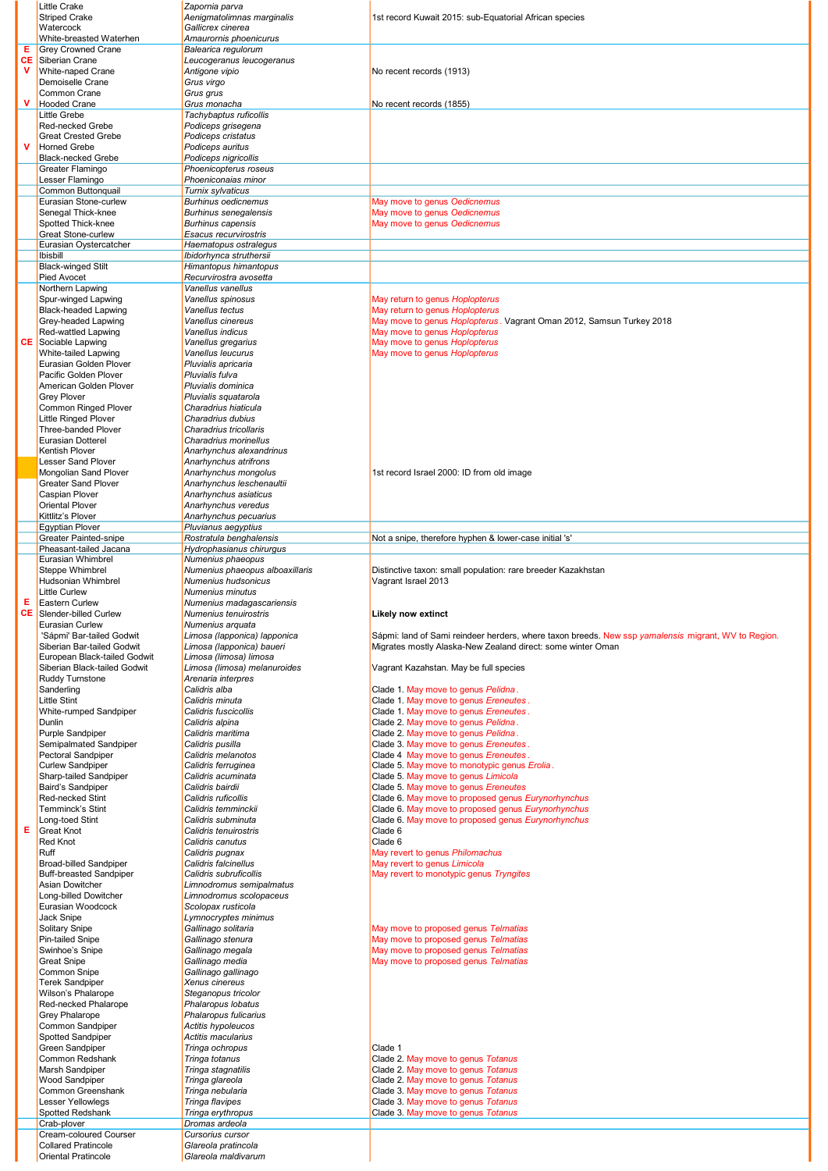|             | Little Crake                                                | Zapornia parva                                     |                                                                                                       |
|-------------|-------------------------------------------------------------|----------------------------------------------------|-------------------------------------------------------------------------------------------------------|
|             | <b>Striped Crake</b>                                        | Aenigmatolimnas marginalis                         | 1st record Kuwait 2015: sub-Equatorial African species                                                |
|             | Watercock<br>White-breasted Waterhen                        | Gallicrex cinerea<br>Amaurornis phoenicurus        |                                                                                                       |
| Е           | <b>Grey Crowned Crane</b>                                   | Balearica regulorum                                |                                                                                                       |
| CЕ          | Siberian Crane                                              | Leucogeranus leucogeranus                          |                                                                                                       |
| <b>V</b>    | White-naped Crane                                           | Antigone vipio                                     | No recent records (1913)                                                                              |
|             | Demoiselle Crane                                            | Grus virgo                                         |                                                                                                       |
|             | Common Crane                                                | Grus grus                                          |                                                                                                       |
| $\mathbf v$ | <b>Hooded Crane</b>                                         | Grus monacha                                       | No recent records (1855)                                                                              |
|             | <b>Little Grebe</b><br><b>Red-necked Grebe</b>              | Tachybaptus ruficollis<br>Podiceps grisegena       |                                                                                                       |
|             | <b>Great Crested Grebe</b>                                  | Podiceps cristatus                                 |                                                                                                       |
| $\mathbf v$ | <b>Horned Grebe</b>                                         | Podiceps auritus                                   |                                                                                                       |
|             | <b>Black-necked Grebe</b>                                   | Podiceps nigricollis                               |                                                                                                       |
|             | Greater Flamingo                                            | Phoenicopterus roseus                              |                                                                                                       |
|             | Lesser Flamingo                                             | Phoeniconaias minor                                |                                                                                                       |
|             | Common Buttonquail                                          | Turnix sylvaticus                                  |                                                                                                       |
|             | Eurasian Stone-curlew                                       | <b>Burhinus oedicnemus</b>                         | May move to genus Oedicnemus                                                                          |
|             | Senegal Thick-knee                                          | <b>Burhinus senegalensis</b>                       | May move to genus Oedicnemus                                                                          |
|             | Spotted Thick-knee<br><b>Great Stone-curlew</b>             | <b>Burhinus capensis</b><br>Esacus recurvirostris  | May move to genus Oedicnemus                                                                          |
|             | Eurasian Oystercatcher                                      | Haematopus ostralegus                              |                                                                                                       |
|             | <b>Ibisbill</b>                                             | Ibidorhynca struthersii                            |                                                                                                       |
|             | <b>Black-winged Stilt</b>                                   | Himantopus himantopus                              |                                                                                                       |
|             | <b>Pied Avocet</b>                                          | Recurvirostra avosetta                             |                                                                                                       |
|             | Northern Lapwing                                            | Vanellus vanellus                                  |                                                                                                       |
|             | Spur-winged Lapwing                                         | Vanellus spinosus                                  | May return to genus Hoplopterus                                                                       |
|             | <b>Black-headed Lapwing</b>                                 | Vanellus tectus                                    | May return to genus Hoplopterus                                                                       |
|             | Grey-headed Lapwing<br>Red-wattled Lapwing                  | Vanellus cinereus<br>Vanellus indicus              | May move to genus Hoplopterus. Vagrant Oman 2012, Samsun Turkey 2018<br>May move to genus Hoplopterus |
|             | <b>CE</b> Sociable Lapwing                                  | Vanellus gregarius                                 | May move to genus Hoplopterus                                                                         |
|             | White-tailed Lapwing                                        | Vanellus leucurus                                  | May move to genus Hoplopterus                                                                         |
|             | Eurasian Golden Plover                                      | Pluvialis apricaria                                |                                                                                                       |
|             | Pacific Golden Plover                                       | Pluvialis fulva                                    |                                                                                                       |
|             | American Golden Plover                                      | Pluvialis dominica                                 |                                                                                                       |
|             | <b>Grey Plover</b>                                          | Pluvialis squatarola                               |                                                                                                       |
|             | <b>Common Ringed Plover</b>                                 | Charadrius hiaticula                               |                                                                                                       |
|             | <b>Little Ringed Plover</b>                                 | Charadrius dubius                                  |                                                                                                       |
|             | <b>Three-banded Plover</b><br><b>Eurasian Dotterel</b>      | Charadrius tricollaris<br>Charadrius morinellus    |                                                                                                       |
|             | <b>Kentish Plover</b>                                       | Anarhynchus alexandrinus                           |                                                                                                       |
|             | <b>Lesser Sand Plover</b>                                   | Anarhynchus atrifrons                              |                                                                                                       |
|             | Mongolian Sand Plover                                       | Anarhynchus mongolus                               | 1st record Israel 2000: ID from old image                                                             |
|             | <b>Greater Sand Plover</b>                                  | Anarhynchus leschenaultii                          |                                                                                                       |
|             | <b>Caspian Plover</b>                                       | Anarhynchus asiaticus                              |                                                                                                       |
|             | <b>Oriental Plover</b>                                      | Anarhynchus veredus                                |                                                                                                       |
|             | Kittlitz's Plover                                           | Anarhynchus pecuarius                              |                                                                                                       |
|             | <b>Egyptian Plover</b><br><b>Greater Painted-snipe</b>      | Pluvianus aegyptius<br>Rostratula benghalensis     | Not a snipe, therefore hyphen & lower-case initial 's'                                                |
|             | Pheasant-tailed Jacana                                      | Hydrophasianus chirurqus                           |                                                                                                       |
|             | Eurasian Whimbrel                                           | Numenius phaeopus                                  |                                                                                                       |
|             | <b>Steppe Whimbrel</b>                                      | Numenius phaeopus alboaxillaris                    | Distinctive taxon: small population: rare breeder Kazakhstan                                          |
|             |                                                             |                                                    |                                                                                                       |
|             | <b>Hudsonian Whimbrel</b>                                   | Numenius hudsonicus                                | Vagrant Israel 2013                                                                                   |
|             | <b>Little Curlew</b>                                        | Numenius minutus                                   |                                                                                                       |
| Е           | <b>Eastern Curlew</b>                                       | Numenius madagascariensis                          |                                                                                                       |
| CЕ          | Slender-billed Curlew<br>Eurasian Curlew                    | Numenius tenuirostris                              | <b>Likely now extinct</b>                                                                             |
|             | 'Sápmi' Bar-tailed Godwit                                   | Numenius arquata<br>Limosa (lapponica) lapponica   | Sápmi: land of Sami reindeer herders, where taxon breeds. New ssp yamalensis migrant, WV to Region.   |
|             | Siberian Bar-tailed Godwit                                  | Limosa (lapponica) baueri                          | Migrates mostly Alaska-New Zealand direct: some winter Oman                                           |
|             | European Black-tailed Godwit                                | Limosa (limosa) limosa                             |                                                                                                       |
|             | Siberian Black-tailed Godwit                                | Limosa (limosa) melanuroides                       | Vagrant Kazahstan. May be full species                                                                |
|             | <b>Ruddy Turnstone</b>                                      | Arenaria interpres                                 |                                                                                                       |
|             | Sanderling                                                  | Calidris alba                                      | Clade 1. May move to genus Pelidna.                                                                   |
|             | <b>Little Stint</b>                                         | Calidris minuta<br>Calidris fuscicollis            | Clade 1. May move to genus Ereneutes.                                                                 |
|             | White-rumped Sandpiper<br>Dunlin                            | Calidris alpina                                    | Clade 1. May move to genus Ereneutes.<br>Clade 2. May move to genus Pelidna.                          |
|             | Purple Sandpiper                                            | Calidris maritima                                  | Clade 2. May move to genus Pelidna.                                                                   |
|             | Semipalmated Sandpiper                                      | Calidris pusilla                                   | Clade 3. May move to genus Ereneutes.                                                                 |
|             | Pectoral Sandpiper                                          | Calidris melanotos                                 | Clade 4 May move to genus Ereneutes.                                                                  |
|             | <b>Curlew Sandpiper</b>                                     | Calidris ferruginea                                | Clade 5. May move to monotypic genus Erolia.                                                          |
|             | Sharp-tailed Sandpiper                                      | Calidris acuminata                                 | Clade 5. May move to genus Limicola<br>Clade 5. May move to genus Ereneutes                           |
|             | <b>Baird's Sandpiper</b><br><b>Red-necked Stint</b>         | Calidris bairdii<br>Calidris ruficollis            | Clade 6. May move to proposed genus Eurynorhynchus                                                    |
|             | Temminck's Stint                                            | Calidris temminckii                                | Clade 6. May move to proposed genus Eurynorhynchus                                                    |
|             | Long-toed Stint                                             | Calidris subminuta                                 | Clade 6. May move to proposed genus Eurynorhynchus                                                    |
| Е           | Great Knot                                                  | Calidris tenuirostris                              | Clade 6                                                                                               |
|             | Red Knot                                                    | Calidris canutus                                   | Clade 6                                                                                               |
|             | Ruff                                                        | Calidris pugnax                                    | May revert to genus Philomachus                                                                       |
|             | <b>Broad-billed Sandpiper</b>                               | Calidris falcinellus                               | May revert to genus Limicola                                                                          |
|             | <b>Buff-breasted Sandpiper</b><br><b>Asian Dowitcher</b>    | Calidris subruficollis<br>Limnodromus semipalmatus | May revert to monotypic genus Tryngites                                                               |
|             | Long-billed Dowitcher                                       | Limnodromus scolopaceus                            |                                                                                                       |
|             | Eurasian Woodcock                                           | Scolopax rusticola                                 |                                                                                                       |
|             | Jack Snipe                                                  | Lymnocryptes minimus                               |                                                                                                       |
|             | Solitary Snipe                                              | Gallinago solitaria                                | May move to proposed genus Telmatias                                                                  |
|             | <b>Pin-tailed Snipe</b>                                     | Gallinago stenura                                  | May move to proposed genus Telmatias                                                                  |
|             | Swinhoe's Snipe                                             | Gallinago megala                                   | May move to proposed genus Telmatias                                                                  |
|             | <b>Great Snipe</b><br>Common Snipe                          | Gallinago media<br>Gallinago gallinago             | May move to proposed genus Telmatias                                                                  |
|             | <b>Terek Sandpiper</b>                                      | Xenus cinereus                                     |                                                                                                       |
|             | Wilson's Phalarope                                          | Steganopus tricolor                                |                                                                                                       |
|             | Red-necked Phalarope                                        | Phalaropus lobatus                                 |                                                                                                       |
|             | <b>Grey Phalarope</b>                                       | Phalaropus fulicarius                              |                                                                                                       |
|             | Common Sandpiper                                            | Actitis hypoleucos                                 |                                                                                                       |
|             | <b>Spotted Sandpiper</b>                                    | Actitis macularius                                 |                                                                                                       |
|             | <b>Green Sandpiper</b>                                      | Tringa ochropus                                    | Clade 1                                                                                               |
|             | Common Redshank                                             | Tringa totanus                                     | Clade 2. May move to genus Totanus                                                                    |
|             | Marsh Sandpiper<br><b>Wood Sandpiper</b>                    | Tringa stagnatilis<br>Tringa glareola              | Clade 2. May move to genus Totanus<br>Clade 2. May move to genus Totanus                              |
|             | Common Greenshank                                           | Tringa nebularia                                   | Clade 3. May move to genus Totanus                                                                    |
|             | <b>Lesser Yellowlegs</b>                                    | Tringa flavipes                                    | Clade 3. May move to genus Totanus                                                                    |
|             | Spotted Redshank                                            | Tringa erythropus                                  | Clade 3. May move to genus Totanus                                                                    |
|             | Crab-plover                                                 | Dromas ardeola                                     |                                                                                                       |
|             | <b>Cream-coloured Courser</b><br><b>Collared Pratincole</b> | Cursorius cursor<br>Glareola pratincola            |                                                                                                       |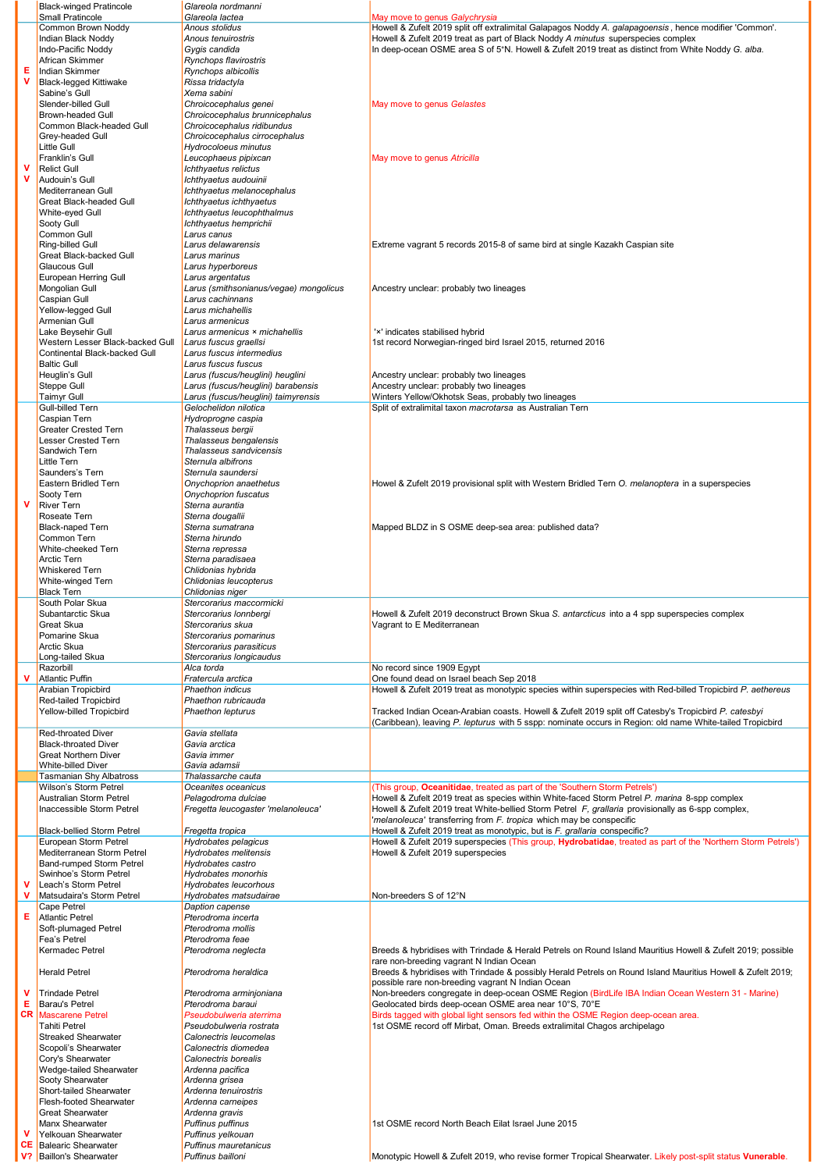|             | <b>Black-winged Pratincole</b>                            | Glareola nordmanni                                      |                                                                                                                                                                                                                   |
|-------------|-----------------------------------------------------------|---------------------------------------------------------|-------------------------------------------------------------------------------------------------------------------------------------------------------------------------------------------------------------------|
|             | Small Pratincole<br>Common Brown Noddy                    | Glareola lactea<br>Anous stolidus                       | May move to genus Galychrysia<br>Howell & Zufelt 2019 split off extralimital Galapagos Noddy A. galapagoensis, hence modifier 'Common'.                                                                           |
|             | Indian Black Noddy                                        | Anous tenuirostris                                      | Howell & Zufelt 2019 treat as part of Black Noddy A minutus superspecies complex                                                                                                                                  |
|             | Indo-Pacific Noddy<br>African Skimmer                     | Gygis candida                                           | In deep-ocean OSME area S of 5°N. Howell & Zufelt 2019 treat as distinct from White Noddy G. alba.                                                                                                                |
| Е           | <b>Indian Skimmer</b>                                     | Rynchops flavirostris<br>Rynchops albicollis            |                                                                                                                                                                                                                   |
| $\mathbf v$ | <b>Black-legged Kittiwake</b>                             | Rissa tridactyla                                        |                                                                                                                                                                                                                   |
|             | Sabine's Gull                                             | Xema sabini                                             |                                                                                                                                                                                                                   |
|             | Slender-billed Gull<br><b>Brown-headed Gull</b>           | Chroicocephalus genei<br>Chroicocephalus brunnicephalus | May move to genus Gelastes                                                                                                                                                                                        |
|             | Common Black-headed Gull                                  | Chroicocephalus ridibundus                              |                                                                                                                                                                                                                   |
|             | Grey-headed Gull                                          | Chroicocephalus cirrocephalus                           |                                                                                                                                                                                                                   |
|             | <b>Little Gull</b>                                        | Hydrocoloeus minutus                                    |                                                                                                                                                                                                                   |
| $\mathbf v$ | Franklin's Gull<br><b>Relict Gull</b>                     | Leucophaeus pipixcan<br>Ichthyaetus relictus            | May move to genus Atricilla                                                                                                                                                                                       |
| $\mathbf v$ | Audouin's Gull                                            | Ichthyaetus audouinii                                   |                                                                                                                                                                                                                   |
|             | Mediterranean Gull                                        | Ichthyaetus melanocephalus                              |                                                                                                                                                                                                                   |
|             | Great Black-headed Gull<br>White-eyed Gull                | Ichthyaetus ichthyaetus<br>Ichthyaetus leucophthalmus   |                                                                                                                                                                                                                   |
|             | Sooty Gull                                                | Ichthyaetus hemprichii                                  |                                                                                                                                                                                                                   |
|             | Common Gull                                               | Larus canus                                             |                                                                                                                                                                                                                   |
|             | Ring-billed Gull                                          | Larus delawarensis                                      | Extreme vagrant 5 records 2015-8 of same bird at single Kazakh Caspian site                                                                                                                                       |
|             | Great Black-backed Gull<br>Glaucous Gull                  | Larus marinus<br>Larus hyperboreus                      |                                                                                                                                                                                                                   |
|             | European Herring Gull                                     | Larus argentatus                                        |                                                                                                                                                                                                                   |
|             | Mongolian Gull                                            | Larus (smithsonianus/vegae) mongolicus                  | Ancestry unclear: probably two lineages                                                                                                                                                                           |
|             | Caspian Gull                                              | Larus cachinnans                                        |                                                                                                                                                                                                                   |
|             | Yellow-legged Gull<br>Armenian Gull                       | Larus michahellis<br>Larus armenicus                    |                                                                                                                                                                                                                   |
|             | Lake Beysehir Gull                                        | Larus armenicus × michahellis                           | 'x' indicates stabilised hybrid                                                                                                                                                                                   |
|             | Western Lesser Black-backed Gull                          | Larus fuscus graellsi                                   | 1st record Norwegian-ringed bird Israel 2015, returned 2016                                                                                                                                                       |
|             | Continental Black-backed Gull<br><b>Baltic Gull</b>       | Larus fuscus intermedius<br>Larus fuscus fuscus         |                                                                                                                                                                                                                   |
|             | Heuglin's Gull                                            | Larus (fuscus/heuglini) heuglini                        | Ancestry unclear: probably two lineages                                                                                                                                                                           |
|             | Steppe Gull                                               | Larus (fuscus/heuglini) barabensis                      | Ancestry unclear: probably two lineages                                                                                                                                                                           |
|             | <b>Taimyr Gull</b>                                        | Larus (fuscus/heuglini) taimyrensis                     | Winters Yellow/Okhotsk Seas, probably two lineages                                                                                                                                                                |
|             | Gull-billed Tern<br><b>Caspian Tern</b>                   | Gelochelidon nilotica<br>Hydroprogne caspia             | Split of extralimital taxon macrotarsa as Australian Tern                                                                                                                                                         |
|             | <b>Greater Crested Tern</b>                               | Thalasseus bergii                                       |                                                                                                                                                                                                                   |
|             | <b>Lesser Crested Tern</b>                                | Thalasseus bengalensis                                  |                                                                                                                                                                                                                   |
|             | Sandwich Tern                                             | Thalasseus sandvicensis                                 |                                                                                                                                                                                                                   |
|             | Little Tern<br>Saunders's Tern                            | Sternula albifrons<br>Sternula saundersi                |                                                                                                                                                                                                                   |
|             | Eastern Bridled Tern                                      | Onychoprion anaethetus                                  | Howel & Zufelt 2019 provisional split with Western Bridled Tern O. melanoptera in a superspecies                                                                                                                  |
|             | Sooty Tern                                                | Onychoprion fuscatus                                    |                                                                                                                                                                                                                   |
| $\mathbf v$ | <b>River Tern</b>                                         | Sterna aurantia                                         |                                                                                                                                                                                                                   |
|             | Roseate Tern<br><b>Black-naped Tern</b>                   | Sterna dougallii<br>Sterna sumatrana                    | Mapped BLDZ in S OSME deep-sea area: published data?                                                                                                                                                              |
|             | Common Tern                                               | Sterna hirundo                                          |                                                                                                                                                                                                                   |
|             | White-cheeked Tern                                        | Sterna repressa                                         |                                                                                                                                                                                                                   |
|             | <b>Arctic Tern</b>                                        | Sterna paradisaea                                       |                                                                                                                                                                                                                   |
|             | <b>Whiskered Tern</b><br>White-winged Tern                | Chlidonias hybrida<br>Chlidonias leucopterus            |                                                                                                                                                                                                                   |
|             | <b>Black Tern</b>                                         | Chlidonias niger                                        |                                                                                                                                                                                                                   |
|             | South Polar Skua                                          | Stercorarius maccormicki                                |                                                                                                                                                                                                                   |
|             | Subantarctic Skua<br>Great Skua                           | Stercorarius Ionnbergi<br>Stercorarius skua             | Howell & Zufelt 2019 deconstruct Brown Skua S. antarcticus into a 4 spp superspecies complex<br>Vagrant to E Mediterranean                                                                                        |
|             | Pomarine Skua                                             | Stercorarius pomarinus                                  |                                                                                                                                                                                                                   |
|             | Arctic Skua                                               | Stercorarius parasiticus                                |                                                                                                                                                                                                                   |
|             | Long-tailed Skua                                          | Stercorarius longicaudus                                |                                                                                                                                                                                                                   |
| v           | Razorbill<br><b>Atlantic Puffin</b>                       | Alca torda<br>Fratercula arctica                        | No record since 1909 Eqypt<br>One found dead on Israel beach Sep 2018                                                                                                                                             |
|             | Arabian Tropicbird                                        | Phaethon indicus                                        | Howell & Zufelt 2019 treat as monotypic species within superspecies with Red-billed Tropicbird P. aethereus                                                                                                       |
|             | Red-tailed Tropicbird                                     | Phaethon rubricauda                                     |                                                                                                                                                                                                                   |
|             | Yellow-billed Tropicbird                                  | Phaethon lepturus                                       | Tracked Indian Ocean-Arabian coasts. Howell & Zufelt 2019 split off Catesby's Tropicbird P. catesbyi<br>(Caribbean), leaving P. lepturus with 5 sspp: nominate occurs in Region: old name White-tailed Tropicbird |
|             | Red-throated Diver                                        | Gavia stellata                                          |                                                                                                                                                                                                                   |
|             | <b>Black-throated Diver</b>                               | Gavia arctica                                           |                                                                                                                                                                                                                   |
|             | <b>Great Northern Diver</b>                               | Gavia immer                                             |                                                                                                                                                                                                                   |
|             | White-billed Diver<br><b>Tasmanian Shy Albatross</b>      | Gavia adamsii<br>Thalassarche cauta                     |                                                                                                                                                                                                                   |
|             | Wilson's Storm Petrel                                     | Oceanites oceanicus                                     | (This group, Oceanitidae, treated as part of the 'Southern Storm Petrels')                                                                                                                                        |
|             | Australian Storm Petrel                                   | Pelagodroma dulciae                                     | Howell & Zufelt 2019 treat as species within White-faced Storm Petrel P. marina 8-spp complex                                                                                                                     |
|             | Inaccessible Storm Petrel                                 | Fregetta leucogaster 'melanoleuca'                      | Howell & Zufelt 2019 treat White-bellied Storm Petrel F, grallaria provisionally as 6-spp complex,<br>'melanoleuca' transferring from F. tropica which may be conspecific                                         |
|             | <b>Black-bellied Storm Petrel</b>                         | Fregetta tropica                                        | Howell & Zufelt 2019 treat as monotypic, but is F. grallaria conspecific?                                                                                                                                         |
|             | European Storm Petrel                                     | Hydrobates pelagicus                                    | Howell & Zufelt 2019 superspecies (This group, Hydrobatidae, treated as part of the 'Northern Storm Petrels')                                                                                                     |
|             | Mediterranean Storm Petrel                                | Hydrobates melitensis                                   | Howell & Zufelt 2019 superspecies                                                                                                                                                                                 |
|             | Band-rumped Storm Petrel<br>Swinhoe's Storm Petrel        | Hydrobates castro<br>Hydrobates monorhis                |                                                                                                                                                                                                                   |
| $\mathbf v$ | Leach's Storm Petrel                                      | Hydrobates leucorhous                                   |                                                                                                                                                                                                                   |
| $\mathbf v$ | Matsudaira's Storm Petrel                                 | Hydrobates matsudairae                                  | Non-breeders S of 12°N                                                                                                                                                                                            |
| Е           | Cape Petrel<br><b>Atlantic Petrel</b>                     | Daption capense<br>Pterodroma incerta                   |                                                                                                                                                                                                                   |
|             | Soft-plumaged Petrel                                      | Pterodroma mollis                                       |                                                                                                                                                                                                                   |
|             | Fea's Petrel                                              | Pterodroma feae                                         |                                                                                                                                                                                                                   |
|             | Kermadec Petrel                                           | Pterodroma neglecta                                     | Breeds & hybridises with Trindade & Herald Petrels on Round Island Mauritius Howell & Zufelt 2019; possible<br>rare non-breeding vagrant N Indian Ocean                                                           |
|             | <b>Herald Petrel</b>                                      | Pterodroma heraldica                                    | Breeds & hybridises with Trindade & possibly Herald Petrels on Round Island Mauritius Howell & Zufelt 2019;                                                                                                       |
|             |                                                           |                                                         | possible rare non-breeding vagrant N Indian Ocean                                                                                                                                                                 |
| v           | <b>Trindade Petrel</b>                                    | Pterodroma arminjoniana                                 | Non-breeders congregate in deep-ocean OSME Region (BirdLife IBA Indian Ocean Western 31 - Marine)                                                                                                                 |
| Е<br>CR     | <b>Barau's Petrel</b><br><b>Mascarene Petrel</b>          | Pterodroma baraui<br>Pseudobulweria aterrima            | Geolocated birds deep-ocean OSME area near 10°S, 70°E<br>Birds tagged with global light sensors fed within the OSME Region deep-ocean area.                                                                       |
|             | <b>Tahiti Petrel</b>                                      | Pseudobulweria rostrata                                 | 1st OSME record off Mirbat, Oman. Breeds extralimital Chagos archipelago                                                                                                                                          |
|             | <b>Streaked Shearwater</b>                                | Calonectris leucomelas                                  |                                                                                                                                                                                                                   |
|             | Scopoli's Shearwater                                      | Calonectris diomedea                                    |                                                                                                                                                                                                                   |
|             | Cory's Shearwater<br>Wedge-tailed Shearwater              | Calonectris borealis<br>Ardenna pacifica                |                                                                                                                                                                                                                   |
|             | Sooty Shearwater                                          | Ardenna grisea                                          |                                                                                                                                                                                                                   |
|             | Short-tailed Shearwater                                   | Ardenna tenuirostris                                    |                                                                                                                                                                                                                   |
|             | Flesh-footed Shearwater<br><b>Great Shearwater</b>        | Ardenna carneipes<br>Ardenna gravis                     |                                                                                                                                                                                                                   |
|             | Manx Shearwater                                           | <b>Puffinus puffinus</b>                                | 1st OSME record North Beach Eilat Israel June 2015                                                                                                                                                                |
| v           | Yelkouan Shearwater                                       | Puffinus yelkouan                                       |                                                                                                                                                                                                                   |
| <b>CE</b>   | <b>Balearic Shearwater</b><br><b>Baillon's Shearwater</b> | Puffinus mauretanicus                                   |                                                                                                                                                                                                                   |
| V?          |                                                           | Puffinus bailloni                                       | Monotypic Howell & Zufelt 2019, who revise former Tropical Shearwater. Likely post-split status Vunerable.                                                                                                        |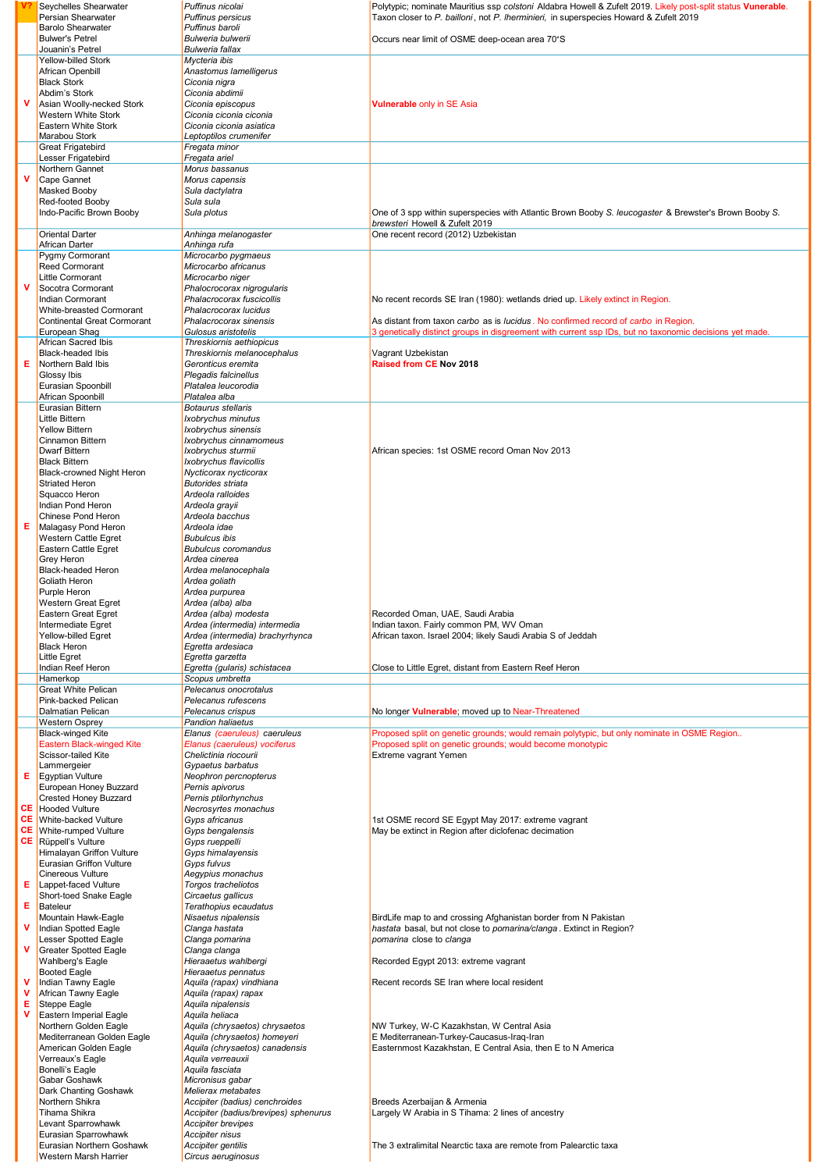|        | Seychelles Shearwater                                        | Puffinus nicolai                                    | Polytypic; nominate Mauritius ssp colstoni Aldabra Howell & Zufelt 2019. Likely post-split status Vunerable.                                                                                  |
|--------|--------------------------------------------------------------|-----------------------------------------------------|-----------------------------------------------------------------------------------------------------------------------------------------------------------------------------------------------|
|        | Persian Shearwater<br><b>Barolo Shearwater</b>               | <b>Puffinus persicus</b><br>Puffinus baroli         | Taxon closer to P. bailloni, not P. Iherminieri, in superspecies Howard & Zufelt 2019                                                                                                         |
|        | <b>Bulwer's Petrel</b>                                       | <b>Bulweria bulwerii</b>                            | Occurs near limit of OSME deep-ocean area 70°S                                                                                                                                                |
|        | Jouanin's Petrel                                             | <b>Bulweria fallax</b>                              |                                                                                                                                                                                               |
|        | Yellow-billed Stork                                          | Mycteria ibis                                       |                                                                                                                                                                                               |
|        | African Openbill<br><b>Black Stork</b>                       | Anastomus lamelligerus<br>Ciconia nigra             |                                                                                                                                                                                               |
|        | Abdim's Stork                                                | Ciconia abdimii                                     |                                                                                                                                                                                               |
| v      | Asian Woolly-necked Stork                                    | Ciconia episcopus                                   | Vulnerable only in SE Asia                                                                                                                                                                    |
|        | <b>Western White Stork</b><br>Eastern White Stork            | Ciconia ciconia ciconia<br>Ciconia ciconia asiatica |                                                                                                                                                                                               |
|        | Marabou Stork                                                | Leptoptilos crumenifer                              |                                                                                                                                                                                               |
|        | <b>Great Frigatebird</b>                                     | Fregata minor                                       |                                                                                                                                                                                               |
|        | Lesser Frigatebird                                           | Fregata ariel                                       |                                                                                                                                                                                               |
| v      | Northern Gannet<br>Cape Gannet                               | Morus bassanus<br>Morus capensis                    |                                                                                                                                                                                               |
|        | Masked Booby                                                 | Sula dactylatra                                     |                                                                                                                                                                                               |
|        | Red-footed Booby                                             | Sula sula                                           |                                                                                                                                                                                               |
|        | Indo-Pacific Brown Booby                                     | Sula plotus                                         | One of 3 spp within superspecies with Atlantic Brown Booby S. leucogaster & Brewster's Brown Booby S.                                                                                         |
|        | <b>Oriental Darter</b>                                       | Anhinga melanogaster                                | brewsteri Howell & Zufelt 2019<br>One recent record (2012) Uzbekistan                                                                                                                         |
|        | African Darter                                               | Anhinga rufa                                        |                                                                                                                                                                                               |
|        | <b>Pygmy Cormorant</b>                                       | Microcarbo pygmaeus                                 |                                                                                                                                                                                               |
|        | Reed Cormorant<br>Little Cormorant                           | Microcarbo africanus                                |                                                                                                                                                                                               |
| v      | Socotra Cormorant                                            | Microcarbo niger<br>Phalocrocorax nigrogularis      |                                                                                                                                                                                               |
|        | Indian Cormorant                                             | Phalacrocorax fuscicollis                           | No recent records SE Iran (1980): wetlands dried up. Likely extinct in Region.                                                                                                                |
|        | <b>White-breasted Cormorant</b>                              | Phalacrocorax lucidus                               |                                                                                                                                                                                               |
|        | <b>Continental Great Cormorant</b><br>European Shag          | Phalacrocorax sinensis<br>Gulosus aristotelis       | As distant from taxon carbo as is lucidus. No confirmed record of carbo in Region.<br>3 genetically distinct groups in disgreement with current ssp IDs, but no taxonomic decisions yet made. |
|        | <b>African Sacred Ibis</b>                                   | Threskiornis aethiopicus                            |                                                                                                                                                                                               |
|        | <b>Black-headed Ibis</b>                                     | Threskiornis melanocephalus                         | Vagrant Uzbekistan                                                                                                                                                                            |
| Е      | Northern Bald Ibis                                           | Geronticus eremita                                  | Raised from CE Nov 2018                                                                                                                                                                       |
|        | Glossy Ibis<br>Eurasian Spoonbill                            | Plegadis falcinellus<br>Platalea leucorodia         |                                                                                                                                                                                               |
|        | African Spoonbill                                            | Platalea alba                                       |                                                                                                                                                                                               |
|        | <b>Eurasian Bittern</b>                                      | <b>Botaurus stellaris</b>                           |                                                                                                                                                                                               |
|        | Little Bittern                                               | Ixobrychus minutus                                  |                                                                                                                                                                                               |
|        | <b>Yellow Bittern</b><br><b>Cinnamon Bittern</b>             | Ixobrychus sinensis<br>Ixobrychus cinnamomeus       |                                                                                                                                                                                               |
|        | <b>Dwarf Bittern</b>                                         | Ixobrychus sturmii                                  | African species: 1st OSME record Oman Nov 2013                                                                                                                                                |
|        | <b>Black Bittern</b>                                         | Ixobrychus flavicollis                              |                                                                                                                                                                                               |
|        | Black-crowned Night Heron                                    | Nycticorax nycticorax                               |                                                                                                                                                                                               |
|        | <b>Striated Heron</b><br>Squacco Heron                       | <b>Butorides striata</b><br>Ardeola ralloides       |                                                                                                                                                                                               |
|        | Indian Pond Heron                                            | Ardeola grayii                                      |                                                                                                                                                                                               |
|        | Chinese Pond Heron                                           | Ardeola bacchus                                     |                                                                                                                                                                                               |
| Е      | Malagasy Pond Heron                                          | Ardeola idae                                        |                                                                                                                                                                                               |
|        | Western Cattle Egret<br>Eastern Cattle Egret                 | <b>Bubulcus ibis</b><br><b>Bubulcus coromandus</b>  |                                                                                                                                                                                               |
|        | Grey Heron                                                   | Ardea cinerea                                       |                                                                                                                                                                                               |
|        | <b>Black-headed Heron</b>                                    | Ardea melanocephala                                 |                                                                                                                                                                                               |
|        | Goliath Heron                                                | Ardea goliath                                       |                                                                                                                                                                                               |
|        |                                                              |                                                     |                                                                                                                                                                                               |
|        | Purple Heron                                                 | Ardea purpurea                                      |                                                                                                                                                                                               |
|        | Western Great Egret<br>Eastern Great Egret                   | Ardea (alba) alba<br>Ardea (alba) modesta           | Recorded Oman, UAE, Saudi Arabia                                                                                                                                                              |
|        | Intermediate Egret                                           | Ardea (intermedia) intermedia                       | Indian taxon. Fairly common PM, WV Oman                                                                                                                                                       |
|        | Yellow-billed Egret                                          | Ardea (intermedia) brachyrhynca                     | African taxon. Israel 2004; likely Saudi Arabia S of Jeddah                                                                                                                                   |
|        | <b>Black Heron</b>                                           | Egretta ardesiaca                                   |                                                                                                                                                                                               |
|        | Little Egret<br>Indian Reef Heron                            | Egretta garzetta<br>Egretta (gularis) schistacea    | Close to Little Egret, distant from Eastern Reef Heron                                                                                                                                        |
|        | Hamerkop                                                     | Scopus umbretta                                     |                                                                                                                                                                                               |
|        | <b>Great White Pelican</b>                                   | Pelecanus onocrotalus                               |                                                                                                                                                                                               |
|        | Pink-backed Pelican<br><b>Dalmatian Pelican</b>              | Pelecanus rufescens<br>Pelecanus crispus            | No longer Vulnerable; moved up to Near-Threatened                                                                                                                                             |
|        | <b>Western Osprey</b>                                        | <b>Pandion haliaetus</b>                            |                                                                                                                                                                                               |
|        | <b>Black-winged Kite</b>                                     | Elanus (caeruleus) caeruleus                        | Proposed split on genetic grounds; would remain polytypic, but only nominate in OSME Region                                                                                                   |
|        | Eastern Black-winged Kite                                    | Elanus (caeruleus) vociferus                        | Proposed split on genetic grounds; would become monotypic                                                                                                                                     |
|        | Scissor-tailed Kite<br>Lammergeier                           | Chelictinia riocourii<br>Gypaetus barbatus          | Extreme vagrant Yemen                                                                                                                                                                         |
| Е      | <b>Egyptian Vulture</b>                                      | Neophron percnopterus                               |                                                                                                                                                                                               |
|        | European Honey Buzzard                                       | Pernis apivorus                                     |                                                                                                                                                                                               |
|        | <b>Crested Honey Buzzard</b>                                 | Pernis ptilorhynchus                                |                                                                                                                                                                                               |
|        | <b>CE</b> Hooded Vulture<br><b>CE</b> White-backed Vulture   | Necrosyrtes monachus<br>Gyps africanus              | 1st OSME record SE Egypt May 2017: extreme vagrant                                                                                                                                            |
|        | <b>CE</b> White-rumped Vulture                               | Gyps bengalensis                                    | May be extinct in Region after diclofenac decimation                                                                                                                                          |
| CE     | Rüppell's Vulture                                            | Gyps rueppelli                                      |                                                                                                                                                                                               |
|        | Himalayan Griffon Vulture<br><b>Eurasian Griffon Vulture</b> | Gyps himalayensis<br>Gyps fulvus                    |                                                                                                                                                                                               |
|        | <b>Cinereous Vulture</b>                                     | Aegypius monachus                                   |                                                                                                                                                                                               |
| Е      | Lappet-faced Vulture                                         | Torgos tracheliotos                                 |                                                                                                                                                                                               |
|        | Short-toed Snake Eagle                                       | Circaetus gallicus                                  |                                                                                                                                                                                               |
| Е      | Bateleur<br>Mountain Hawk-Eagle                              | Terathopius ecaudatus<br>Nisaetus nipalensis        | BirdLife map to and crossing Afghanistan border from N Pakistan                                                                                                                               |
| ۷      | Indian Spotted Eagle                                         | Clanga hastata                                      | hastata basal, but not close to pomarina/clanga. Extinct in Region?                                                                                                                           |
|        | Lesser Spotted Eagle                                         | Clanga pomarina                                     | pomarina close to clanga                                                                                                                                                                      |
| v      | <b>Greater Spotted Eagle</b>                                 | Clanga clanga                                       |                                                                                                                                                                                               |
|        | Wahlberg's Eagle<br><b>Booted Eagle</b>                      | Hieraaetus wahlbergi<br>Hieraaetus pennatus         | Recorded Egypt 2013: extreme vagrant                                                                                                                                                          |
|        | Indian Tawny Eagle                                           | Aquila (rapax) vindhiana                            | Recent records SE Iran where local resident                                                                                                                                                   |
| v      | African Tawny Eagle                                          | Aquila (rapax) rapax                                |                                                                                                                                                                                               |
| Е<br>v | Steppe Eagle                                                 | Aquila nipalensis                                   |                                                                                                                                                                                               |
|        | Eastern Imperial Eagle<br>Northern Golden Eagle              | Aquila heliaca<br>Aquila (chrysaetos) chrysaetos    | NW Turkey, W-C Kazakhstan, W Central Asia                                                                                                                                                     |
|        | Mediterranean Golden Eagle                                   | Aquila (chrysaetos) homeyeri                        | E Mediterranean-Turkey-Caucasus-Iraq-Iran                                                                                                                                                     |
|        | American Golden Eagle                                        | Aquila (chrysaetos) canadensis                      | Easternmost Kazakhstan, E Central Asia, then E to N America                                                                                                                                   |
|        | Verreaux's Eagle                                             | Aquila verreauxii                                   |                                                                                                                                                                                               |
|        | Bonelli's Eagle<br>Gabar Goshawk                             | Aquila fasciata<br>Micronisus gabar                 |                                                                                                                                                                                               |
|        | <b>Dark Chanting Goshawk</b>                                 | Melierax metabates                                  |                                                                                                                                                                                               |
|        | Northern Shikra                                              | Accipiter (badius) cenchroides                      | Breeds Azerbaijan & Armenia                                                                                                                                                                   |
|        | Tihama Shikra                                                | Accipiter (badius/brevipes) sphenurus               | Largely W Arabia in S Tihama: 2 lines of ancestry                                                                                                                                             |
|        | Levant Sparrowhawk<br>Eurasian Sparrowhawk                   | <b>Accipiter brevipes</b><br>Accipiter nisus        |                                                                                                                                                                                               |
|        | Eurasian Northern Goshawk<br>Western Marsh Harrier           | Accipiter gentilis<br>Circus aeruginosus            | The 3 extralimital Nearctic taxa are remote from Palearctic taxa                                                                                                                              |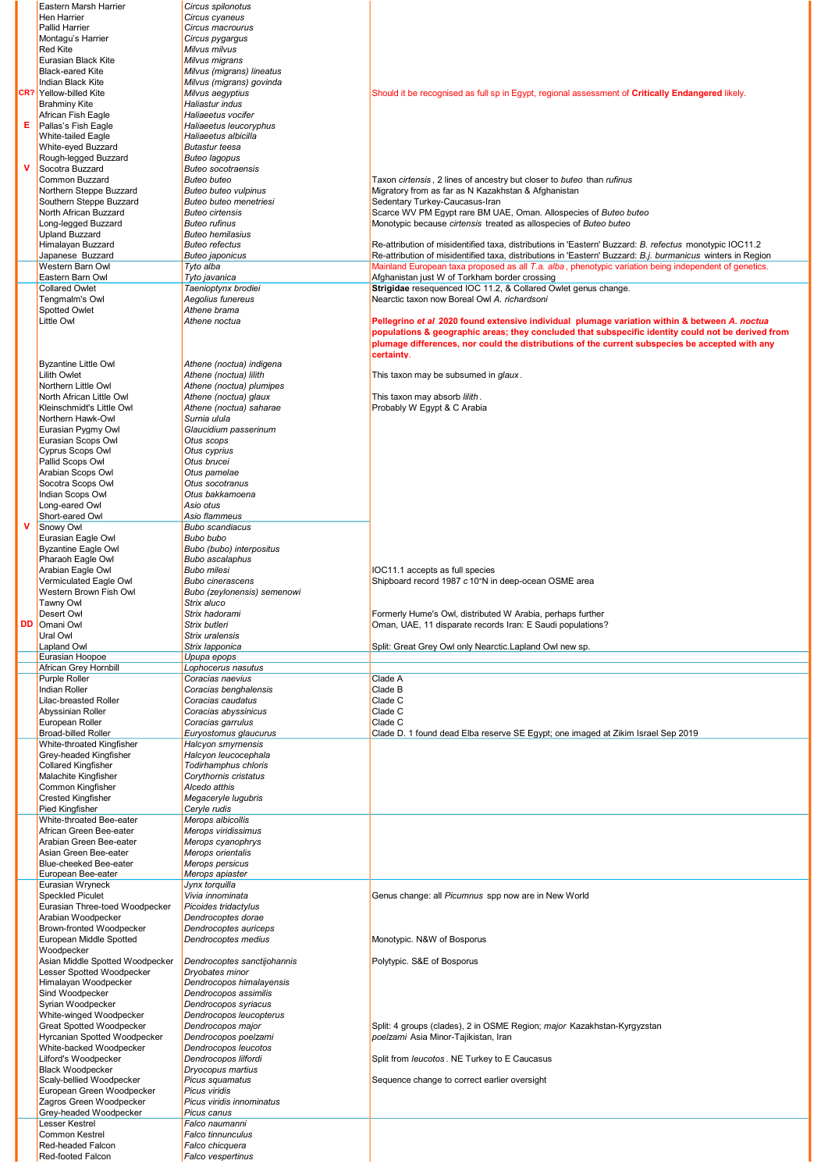|   | <b>Eastern Marsh Harrier</b>                         | Circus spilonotus                            |                                                                                                                          |
|---|------------------------------------------------------|----------------------------------------------|--------------------------------------------------------------------------------------------------------------------------|
|   | Hen Harrier                                          | Circus cyaneus                               |                                                                                                                          |
|   | <b>Pallid Harrier</b>                                | Circus macrourus                             |                                                                                                                          |
|   | Montagu's Harrier                                    | Circus pygargus                              |                                                                                                                          |
|   | <b>Red Kite</b>                                      | Milvus milvus                                |                                                                                                                          |
|   | Eurasian Black Kite                                  | Milvus migrans                               |                                                                                                                          |
|   | <b>Black-eared Kite</b>                              | Milvus (migrans) lineatus                    |                                                                                                                          |
|   | Indian Black Kite<br><b>CR?</b> Yellow-billed Kite   | Milvus (migrans) govinda<br>Milvus aegyptius | Should it be recognised as full sp in Egypt, regional assessment of <b>Critically Endangered</b> likely.                 |
|   | <b>Brahminy Kite</b>                                 | Haliastur indus                              |                                                                                                                          |
|   | African Fish Eagle                                   | Haliaeetus vocifer                           |                                                                                                                          |
| Е | Pallas's Fish Eagle                                  | Haliaeetus leucoryphus                       |                                                                                                                          |
|   | <b>White-tailed Eagle</b>                            | Haliaeetus albicilla                         |                                                                                                                          |
|   | White-eyed Buzzard                                   | <b>Butastur teesa</b>                        |                                                                                                                          |
|   | Rough-legged Buzzard                                 | <b>Buteo lagopus</b>                         |                                                                                                                          |
| v | Socotra Buzzard                                      | <b>Buteo socotraensis</b>                    |                                                                                                                          |
|   | Common Buzzard                                       | <b>Buteo buteo</b>                           | Taxon cirtensis, 2 lines of ancestry but closer to buteo than rufinus                                                    |
|   | Northern Steppe Buzzard                              | Buteo buteo vulpinus                         | Migratory from as far as N Kazakhstan & Afghanistan                                                                      |
|   | Southern Steppe Buzzard                              | Buteo buteo menetriesi                       | Sedentary Turkey-Caucasus-Iran                                                                                           |
|   | North African Buzzard                                | <b>Buteo cirtensis</b>                       | Scarce WV PM Egypt rare BM UAE, Oman. Allospecies of Buteo buteo                                                         |
|   | Long-legged Buzzard                                  | <b>Buteo rufinus</b>                         | Monotypic because cirtensis treated as allospecies of Buteo buteo                                                        |
|   | <b>Upland Buzzard</b>                                | <b>Buteo hemilasius</b>                      |                                                                                                                          |
|   | Himalayan Buzzard                                    | <b>Buteo refectus</b>                        | Re-attribution of misidentified taxa, distributions in 'Eastern' Buzzard: B. refectus monotypic IOC11.2                  |
|   | Japanese Buzzard                                     | <b>Buteo japonicus</b>                       | Re-attribution of misidentified taxa, distributions in 'Eastern' Buzzard: B.j. burmanicus winters in Region              |
|   | Western Barn Owl<br>Eastern Barn Owl                 | Tyto alba                                    | Mainland European taxa proposed as all T.a. alba, phenotypic variation being independent of genetics.                    |
|   | <b>Collared Owlet</b>                                | Tyto javanica<br>Taenioptynx brodiei         | Afghanistan just W of Torkham border crossing<br>Strigidae resequenced IOC 11.2, & Collared Owlet genus change.          |
|   | Tengmalm's Owl                                       | Aegolius funereus                            | Nearctic taxon now Boreal Owl A. richardsoni                                                                             |
|   | Spotted Owlet                                        | Athene brama                                 |                                                                                                                          |
|   | Little Owl                                           | Athene noctua                                | Pellegrino et al 2020 found extensive individual plumage variation within & between A. noctua                            |
|   |                                                      |                                              | populations & geographic areas; they concluded that subspecific identity could not be derived from                       |
|   |                                                      |                                              | plumage differences, nor could the distributions of the current subspecies be accepted with any                          |
|   |                                                      |                                              | certainty.                                                                                                               |
|   | <b>Byzantine Little Owl</b>                          | Athene (noctua) indigena                     |                                                                                                                          |
|   | <b>Lilith Owlet</b>                                  | Athene (noctua) lilith                       | This taxon may be subsumed in glaux.                                                                                     |
|   | Northern Little Owl                                  | Athene (noctua) plumipes                     |                                                                                                                          |
|   | North African Little Owl                             | Athene (noctua) glaux                        | This taxon may absorb lilith.                                                                                            |
|   | Kleinschmidt's Little Owl                            | Athene (noctua) saharae                      | Probably W Egypt & C Arabia                                                                                              |
|   | Northern Hawk-Owl                                    | Surnia ulula                                 |                                                                                                                          |
|   | Eurasian Pygmy Owl                                   | Glaucidium passerinum                        |                                                                                                                          |
|   | Eurasian Scops Owl                                   | Otus scops                                   |                                                                                                                          |
|   | Cyprus Scops Owl                                     | Otus cyprius                                 |                                                                                                                          |
|   | Pallid Scops Owl                                     | Otus brucei                                  |                                                                                                                          |
|   | Arabian Scops Owl                                    | Otus pamelae                                 |                                                                                                                          |
|   | Socotra Scops Owl                                    | Otus socotranus                              |                                                                                                                          |
|   | Indian Scops Owl                                     | Otus bakkamoena                              |                                                                                                                          |
|   | Long-eared Owl<br>Short-eared Owl                    | Asio otus                                    |                                                                                                                          |
| v | Snowy Owl                                            | Asio flammeus<br><b>Bubo scandiacus</b>      |                                                                                                                          |
|   | Eurasian Eagle Owl                                   | Bubo bubo                                    |                                                                                                                          |
|   | <b>Byzantine Eagle Owl</b>                           | Bubo (bubo) interpositus                     |                                                                                                                          |
|   | Pharaoh Eagle Owl                                    | Bubo ascalaphus                              |                                                                                                                          |
|   | Arabian Eagle Owl                                    | <b>Bubo milesi</b>                           | IOC11.1 accepts as full species                                                                                          |
|   | Vermiculated Eagle Owl                               | <b>Bubo cinerascens</b>                      | Shipboard record 1987 c 10°N in deep-ocean OSME area                                                                     |
|   |                                                      |                                              |                                                                                                                          |
|   |                                                      |                                              |                                                                                                                          |
|   | Western Brown Fish Owl                               | Bubo (zeylonensis) semenowi                  |                                                                                                                          |
|   | <b>Tawny Owl</b><br><b>Desert Owl</b>                | Strix aluco<br>Strix hadorami                |                                                                                                                          |
|   | Omani Owl                                            | Strix butleri                                | Formerly Hume's Owl, distributed W Arabia, perhaps further<br>Oman, UAE, 11 disparate records Iran: E Saudi populations? |
|   | Ural Owl                                             | Strix uralensis                              |                                                                                                                          |
|   | Lapland Owl                                          | Strix lapponica                              | Split: Great Grey Owl only Nearctic.Lapland Owl new sp.                                                                  |
|   | Eurasian Hoopoe                                      | Upupa epops                                  |                                                                                                                          |
|   | African Grey Hornbill                                | Lophocerus nasutus                           |                                                                                                                          |
|   | Purple Roller                                        | Coracias naevius                             | Clade A                                                                                                                  |
|   | <b>Indian Roller</b>                                 | Coracias benghalensis                        | Clade B                                                                                                                  |
|   | Lilac-breasted Roller                                | Coracias caudatus                            | Clade C                                                                                                                  |
|   | Abyssinian Roller                                    | Coracias abyssinicus                         | Clade C                                                                                                                  |
|   | European Roller                                      | Coracias garrulus                            | Clade C                                                                                                                  |
|   | <b>Broad-billed Roller</b>                           | Euryostomus glaucurus                        | Clade D. 1 found dead Elba reserve SE Egypt; one imaged at Zikim Israel Sep 2019                                         |
|   | White-throated Kingfisher                            | Halcyon smyrnensis                           |                                                                                                                          |
|   | Grey-headed Kingfisher                               | Halcyon leucocephala                         |                                                                                                                          |
|   | <b>Collared Kingfisher</b>                           | Todirhamphus chloris                         |                                                                                                                          |
|   | Malachite Kingfisher<br>Common Kingfisher            | Corythornis cristatus<br>Alcedo atthis       |                                                                                                                          |
|   | <b>Crested Kingfisher</b>                            | Megaceryle lugubris                          |                                                                                                                          |
|   | Pied Kingfisher                                      | Ceryle rudis                                 |                                                                                                                          |
|   | White-throated Bee-eater                             | Merops albicollis                            |                                                                                                                          |
|   | African Green Bee-eater                              | Merops viridissimus                          |                                                                                                                          |
|   | Arabian Green Bee-eater                              | Merops cyanophrys                            |                                                                                                                          |
|   | Asian Green Bee-eater                                | Merops orientalis                            |                                                                                                                          |
|   | Blue-cheeked Bee-eater                               | Merops persicus                              |                                                                                                                          |
|   | European Bee-eater                                   | Merops apiaster                              |                                                                                                                          |
|   | Eurasian Wryneck                                     | Jynx torquilla                               |                                                                                                                          |
|   | <b>Speckled Piculet</b>                              | Vivia innominata                             | Genus change: all Picumnus spp now are in New World                                                                      |
|   | Eurasian Three-toed Woodpecker<br>Arabian Woodpecker | Picoides tridactylus<br>Dendrocoptes dorae   |                                                                                                                          |
|   | Brown-fronted Woodpecker                             | Dendrocoptes auriceps                        |                                                                                                                          |
|   | European Middle Spotted                              | Dendrocoptes medius                          | Monotypic. N&W of Bosporus                                                                                               |
|   | Woodpecker                                           |                                              |                                                                                                                          |
|   | Asian Middle Spotted Woodpecker                      | Dendrocoptes sanctijohannis                  | Polytypic. S&E of Bosporus                                                                                               |
|   | Lesser Spotted Woodpecker                            | Dryobates minor                              |                                                                                                                          |
|   | Himalayan Woodpecker                                 | Dendrocopos himalayensis                     |                                                                                                                          |
|   | Sind Woodpecker                                      | Dendrocopos assimilis                        |                                                                                                                          |
|   | Syrian Woodpecker                                    | Dendrocopos syriacus                         |                                                                                                                          |
|   | White-winged Woodpecker                              | Dendrocopos leucopterus                      |                                                                                                                          |
|   | Great Spotted Woodpecker                             | Dendrocopos major                            | Split: 4 groups (clades), 2 in OSME Region; major Kazakhstan-Kyrgyzstan                                                  |
|   | Hyrcanian Spotted Woodpecker                         | Dendrocopos poelzami                         | poelzami Asia Minor-Tajikistan, Iran                                                                                     |
|   | White-backed Woodpecker                              | Dendrocopos leucotos                         |                                                                                                                          |
|   | Lilford's Woodpecker                                 | Dendrocopos lilfordi                         | Split from <i>leucotos</i> . NE Turkey to E Caucasus                                                                     |
|   | <b>Black Woodpecker</b>                              | Dryocopus martius                            |                                                                                                                          |
|   | Scaly-bellied Woodpecker                             | Picus squamatus                              | Sequence change to correct earlier oversight                                                                             |
|   | European Green Woodpecker                            | Picus viridis<br>Picus viridis innominatus   |                                                                                                                          |
|   | Zagros Green Woodpecker<br>Grey-headed Woodpecker    | Picus canus                                  |                                                                                                                          |
|   | Lesser Kestrel                                       | Falco naumanni                               |                                                                                                                          |
|   | <b>Common Kestrel</b>                                | Falco tinnunculus                            |                                                                                                                          |
|   | Red-headed Falcon<br>Red-footed Falcon               | Falco chicquera<br>Falco vespertinus         |                                                                                                                          |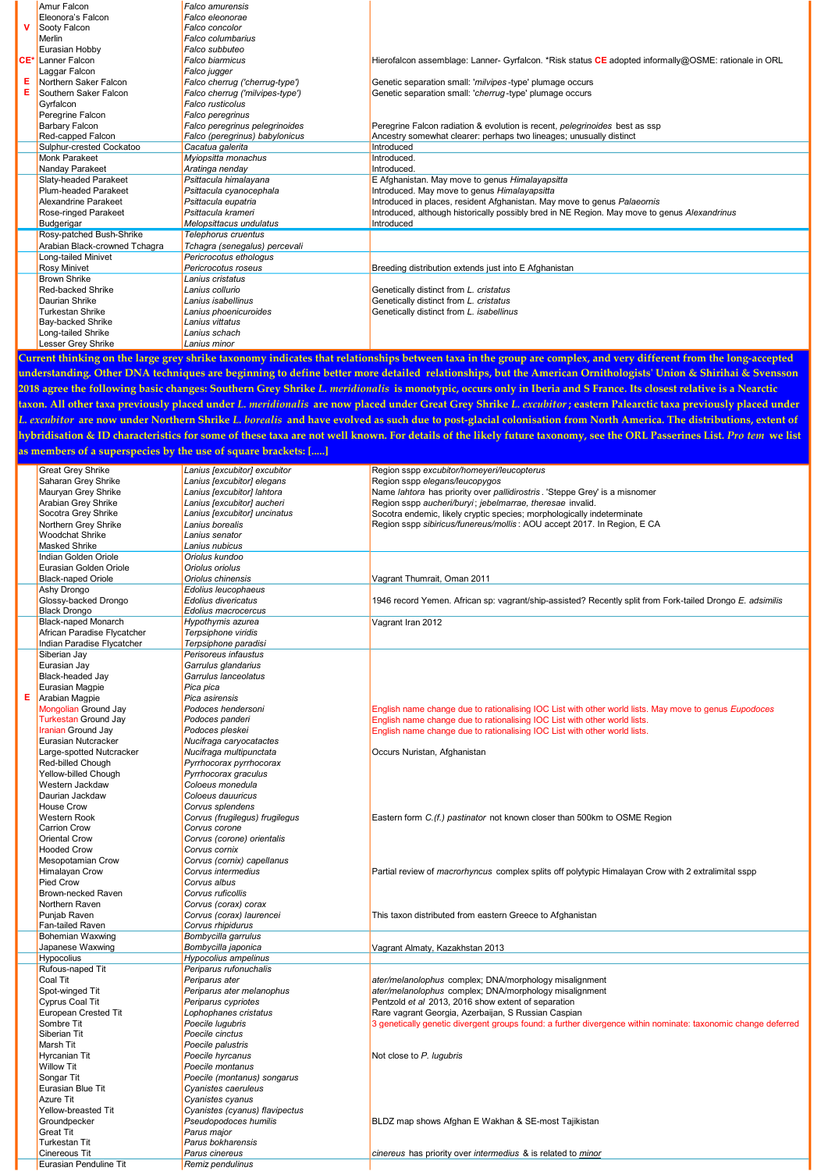|   | Amur Falcon                               | <b>Falco amurensis</b>                                                                                      |                                                                                                      |
|---|-------------------------------------------|-------------------------------------------------------------------------------------------------------------|------------------------------------------------------------------------------------------------------|
|   | Eleonora's Falcon                         | Falco eleonorae                                                                                             |                                                                                                      |
|   | Sooty Falcon                              | <b>Falco concolor</b>                                                                                       |                                                                                                      |
|   | Merlin                                    | Falco columbarius                                                                                           |                                                                                                      |
|   | Eurasian Hobby                            | Falco subbuteo                                                                                              |                                                                                                      |
|   | CE <sup>*</sup> Lanner Falcon             | Falco biarmicus                                                                                             | Hierofalcon assemblage: Lanner- Gyrfalcon. *Risk status CE adopted informally@OSME: rationale in ORL |
|   | Laggar Falcon                             | Falco jugger                                                                                                |                                                                                                      |
|   | Northern Saker Falcon                     | Falco cherrug ('cherrug-type')                                                                              | Genetic separation small: 'milvipes-type' plumage occurs                                             |
| Е | Southern Saker Falcon                     | Falco cherrug ('milvipes-type')                                                                             | Genetic separation small: 'cherrug-type' plumage occurs                                              |
|   | Gyrfalcon                                 | Falco rusticolus                                                                                            |                                                                                                      |
|   | Peregrine Falcon                          | Falco peregrinus                                                                                            |                                                                                                      |
|   | <b>Barbary Falcon</b>                     | Falco peregrinus pelegrinoides                                                                              | Peregrine Falcon radiation & evolution is recent, pelegrinoides best as ssp                          |
|   | Red-capped Falcon                         | Falco (peregrinus) babylonicus                                                                              | Ancestry somewhat clearer: perhaps two lineages; unusually distinct                                  |
|   | Sulphur-crested Cockatoo                  | Cacatua galerita                                                                                            | Introduced                                                                                           |
|   | Monk Parakeet                             | Myiopsitta monachus                                                                                         | Introduced.                                                                                          |
|   | Nanday Parakeet                           | Aratinga nenday                                                                                             | Introduced.                                                                                          |
|   | Slaty-headed Parakeet                     | Psittacula himalayana                                                                                       | E Afghanistan. May move to genus Himalayapsitta                                                      |
|   | Plum-headed Parakeet                      | Psittacula cyanocephala                                                                                     | Introduced. May move to genus Himalayapsitta                                                         |
|   | Alexandrine Parakeet                      | Psittacula eupatria                                                                                         | Introduced in places, resident Afghanistan. May move to genus Palaeornis                             |
|   | <b>Rose-ringed Parakeet</b>               | Psittacula krameri                                                                                          | Introduced, although historically possibly bred in NE Region. May move to genus Alexandrinus         |
|   | Budgerigar                                | Melopsittacus undulatus                                                                                     | Introduced                                                                                           |
|   | Rosy-patched Bush-Shrike                  | Telephorus cruentus                                                                                         |                                                                                                      |
|   | Arabian Black-crowned Tchagra             | Tchagra (senegalus) percevali                                                                               |                                                                                                      |
|   | Long-tailed Minivet                       | Pericrocotus ethologus                                                                                      |                                                                                                      |
|   | <b>Rosy Minivet</b>                       | Pericrocotus roseus                                                                                         | Breeding distribution extends just into E Afghanistan                                                |
|   | <b>Brown Shrike</b>                       | Lanius cristatus                                                                                            |                                                                                                      |
|   | Red-backed Shrike                         | Lanius collurio                                                                                             | Genetically distinct from L. cristatus                                                               |
|   | Daurian Shrike                            | Lanius isabellinus                                                                                          | Genetically distinct from L. cristatus                                                               |
|   | <b>Turkestan Shrike</b>                   | Lanius phoenicuroides                                                                                       | Genetically distinct from L. isabellinus                                                             |
|   | <b>Bay-backed Shrike</b>                  | Lanius vittatus                                                                                             |                                                                                                      |
|   | Long-tailed Shrike                        | Lanius schach                                                                                               |                                                                                                      |
|   | <b>Lesser Grey Shrike</b>                 | Lanius minor                                                                                                |                                                                                                      |
|   | a consentat anticipal and consent and the | the structure of the contract condition of the contract of the contract of the con-<br><b>CHARTER CARDS</b> | <b>Channel College</b><br>At Columbus Common Charles Common                                          |

rrent thinking on the large grey shrike taxonomy indicates that relationships between taxa in the group are complex, and very different from the understanding. Other DNA techniques are beginning to define better more detailed relationships, but the American Ornithologists' Union & Shirihai & Svensson 2018 agree the following basic changes: Southern Grey Shrike L. meridionalis is monotypic, occurs only in Iberia and S France. Its closest relative is a Nearctic taxon. All other taxa previously placed under L. meridionalis are now placed under Great Grey Shrike L. excubitor ; eastern Palearctic taxa previously placed under L. excubitor are now under Northern Shrike L. borealis and have evolved as such due to post-glacial colonisation from North America. The distributions, extent of hybridisation & ID characteristics for some of these taxa are not well known. For details of the likely future taxonomy, see the ORL Passerines List. Pro tem we list as members of a superspecies by the use of square brackets: [.....]

|   | <b>Great Grey Shrike</b>    | Lanius [excubitor] excubitor   | Region sspp excubitor/homeyeri/leucopterus                                                                    |
|---|-----------------------------|--------------------------------|---------------------------------------------------------------------------------------------------------------|
|   | Saharan Grey Shrike         | Lanius [excubitor] elegans     | Region sspp elegans/leucopygos                                                                                |
|   | Mauryan Grey Shrike         | Lanius [excubitor] lahtora     | Name lahtora has priority over pallidirostris. 'Steppe Grey' is a misnomer                                    |
|   | Arabian Grey Shrike         | Lanius [excubitor] aucheri     | Region sspp aucheri/buryi; jebelmarrae, theresae invalid.                                                     |
|   | Socotra Grey Shrike         | Lanius [excubitor] uncinatus   | Socotra endemic, likely cryptic species; morphologically indeterminate                                        |
|   | Northern Grey Shrike        | Lanius borealis                | Region sspp sibiricus/funereus/mollis: AOU accept 2017. In Region, E CA                                       |
|   | Woodchat Shrike             | Lanius senator                 |                                                                                                               |
|   | Masked Shrike               | Lanius nubicus                 |                                                                                                               |
|   | Indian Golden Oriole        | Oriolus kundoo                 |                                                                                                               |
|   | Eurasian Golden Oriole      | Oriolus oriolus                |                                                                                                               |
|   | <b>Black-naped Oriole</b>   | Oriolus chinensis              | Vagrant Thumrait, Oman 2011                                                                                   |
|   | Ashy Drongo                 | Edolius leucophaeus            |                                                                                                               |
|   | Glossy-backed Drongo        | Edolius divericatus            | 1946 record Yemen. African sp: vagrant/ship-assisted? Recently split from Fork-tailed Drongo E. adsimilis     |
|   | <b>Black Drongo</b>         | Edolius macrocercus            |                                                                                                               |
|   | <b>Black-naped Monarch</b>  | Hypothymis azurea              | Vagrant Iran 2012                                                                                             |
|   | African Paradise Flycatcher | Terpsiphone viridis            |                                                                                                               |
|   | Indian Paradise Flycatcher  | Terpsiphone paradisi           |                                                                                                               |
|   | Siberian Jay                | Perisoreus infaustus           |                                                                                                               |
|   | Eurasian Jay                | Garrulus glandarius            |                                                                                                               |
|   | Black-headed Jay            | Garrulus lanceolatus           |                                                                                                               |
|   | Eurasian Magpie             | Pica pica                      |                                                                                                               |
| Е | Arabian Magpie              | Pica asirensis                 |                                                                                                               |
|   | <b>Mongolian Ground Jay</b> | Podoces hendersoni             | English name change due to rationalising IOC List with other world lists. May move to genus Eupodoces         |
|   | <b>Turkestan Ground Jay</b> | Podoces panderi                | English name change due to rationalising IOC List with other world lists.                                     |
|   | <b>Iranian Ground Jay</b>   | Podoces pleskei                | English name change due to rationalising IOC List with other world lists.                                     |
|   | Eurasian Nutcracker         | Nucifraga caryocatactes        |                                                                                                               |
|   | Large-spotted Nutcracker    | Nucifraga multipunctata        | Occurs Nuristan, Afghanistan                                                                                  |
|   | Red-billed Chough           | Pyrrhocorax pyrrhocorax        |                                                                                                               |
|   | Yellow-billed Chough        | Pyrrhocorax graculus           |                                                                                                               |
|   | Western Jackdaw             | Coloeus monedula               |                                                                                                               |
|   | Daurian Jackdaw             | Coloeus dauuricus              |                                                                                                               |
|   | <b>House Crow</b>           | Corvus splendens               |                                                                                                               |
|   | <b>Western Rook</b>         | Corvus (frugilegus) frugilegus | Eastern form C.(f.) pastinator not known closer than 500km to OSME Region                                     |
|   | Carrion Crow                | Corvus corone                  |                                                                                                               |
|   | <b>Oriental Crow</b>        | Corvus (corone) orientalis     |                                                                                                               |
|   | <b>Hooded Crow</b>          | Corvus cornix                  |                                                                                                               |
|   | Mesopotamian Crow           | Corvus (cornix) capellanus     |                                                                                                               |
|   | Himalayan Crow              | Corvus intermedius             | Partial review of macrorhyncus complex splits off polytypic Himalayan Crow with 2 extralimital sspp           |
|   | Pied Crow                   | Corvus albus                   |                                                                                                               |
|   | Brown-necked Raven          | Corvus ruficollis              |                                                                                                               |
|   | Northern Raven              | Corvus (corax) corax           |                                                                                                               |
|   | Puniab Raven                | Corvus (corax) laurencei       | This taxon distributed from eastern Greece to Afghanistan                                                     |
|   | Fan-tailed Raven            | Corvus rhipidurus              |                                                                                                               |
|   | <b>Bohemian Waxwing</b>     | Bombycilla garrulus            |                                                                                                               |
|   | Japanese Waxwing            | Bombycilla japonica            | Vagrant Almaty, Kazakhstan 2013                                                                               |
|   | Hypocolius                  | Hypocolius ampelinus           |                                                                                                               |
|   | Rufous-naped Tit            | Periparus rufonuchalis         |                                                                                                               |
|   | Coal Tit                    | Periparus ater                 | ater/melanolophus complex; DNA/morphology misalignment                                                        |
|   | Spot-winged Tit             | Periparus ater melanophus      | ater/melanolophus complex; DNA/morphology misalignment                                                        |
|   | Cyprus Coal Tit             | Periparus cypriotes            | Pentzold et al 2013, 2016 show extent of separation                                                           |
|   | European Crested Tit        | Lophophanes cristatus          | Rare vagrant Georgia, Azerbaijan, S Russian Caspian                                                           |
|   | Sombre Tit                  | Poecile luqubris               | 3 genetically genetic divergent groups found: a further divergence within nominate: taxonomic change deferred |
|   | Siberian Tit                | Poecile cinctus                |                                                                                                               |
|   | Marsh Tit                   | Poecile palustris              |                                                                                                               |
|   | Hyrcanian Tit               | Poecile hyrcanus               | Not close to P. lugubris                                                                                      |
|   | <b>Willow Tit</b>           | Poecile montanus               |                                                                                                               |
|   | Songar Tit                  | Poecile (montanus) songarus    |                                                                                                               |
|   | Eurasian Blue Tit           | Cyanistes caeruleus            |                                                                                                               |
|   | Azure Tit                   | Cyanistes cyanus               |                                                                                                               |
|   | Yellow-breasted Tit         | Cyanistes (cyanus) flavipectus |                                                                                                               |
|   | Groundpecker                | Pseudopodoces humilis          | BLDZ map shows Afghan E Wakhan & SE-most Tajikistan                                                           |
|   | <b>Great Tit</b>            | Parus maior                    |                                                                                                               |
|   | Turkestan Tit               | Parus bokharensis              |                                                                                                               |
|   | Cinereous Tit               | Parus cinereus                 | cinereus has priority over intermedius & is related to minor                                                  |
|   | Eurasian Penduline Tit      | Remiz pendulinus               |                                                                                                               |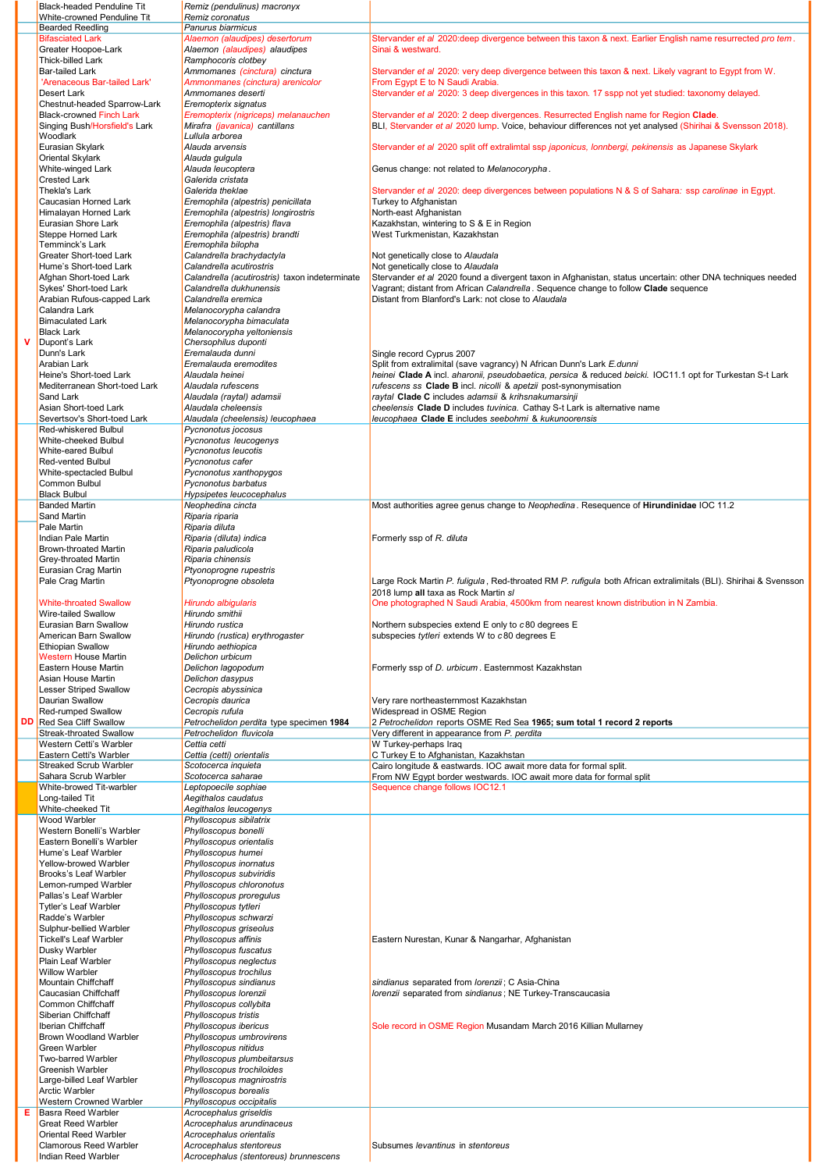|    | <b>Black-headed Penduline Tit</b>                       | Remiz (pendulinus) macronyx                                         |                                                                                                                                                                                     |
|----|---------------------------------------------------------|---------------------------------------------------------------------|-------------------------------------------------------------------------------------------------------------------------------------------------------------------------------------|
|    | White-crowned Penduline Tit<br><b>Bearded Reedling</b>  | Remiz coronatus<br>Panurus biarmicus                                |                                                                                                                                                                                     |
|    | <b>Bifasciated Lark</b>                                 | Alaemon (alaudipes) desertorum                                      | Stervander et al 2020: deep divergence between this taxon & next. Earlier English name resurrected pro tem.                                                                         |
|    | Greater Hoopoe-Lark                                     | Alaemon (alaudipes) alaudipes                                       | Sinai & westward.                                                                                                                                                                   |
|    | Thick-billed Lark                                       | Ramphocoris clotbey                                                 |                                                                                                                                                                                     |
|    | <b>Bar-tailed Lark</b><br>'Arenaceous Bar-tailed Lark'  | Ammomanes (cinctura) cinctura<br>Ammonmanes (cinctura) arenicolor   | Stervander et al 2020: very deep divergence between this taxon & next. Likely vagrant to Egypt from W.<br>From Egypt E to N Saudi Arabia.                                           |
|    | Desert Lark                                             | Ammomanes deserti                                                   | Stervander et al 2020: 3 deep divergences in this taxon. 17 sspp not yet studied: taxonomy delayed.                                                                                 |
|    | Chestnut-headed Sparrow-Lark                            | Eremopterix signatus                                                |                                                                                                                                                                                     |
|    | <b>Black-crowned Finch Lark</b>                         | Eremopterix (nigriceps) melanauchen                                 | Stervander et al 2020: 2 deep divergences. Resurrected English name for Region Clade.                                                                                               |
|    | Singing Bush/Horsfield's Lark<br>Woodlark               | Mirafra (javanica) cantillans<br>Lullula arborea                    | BLI, Stervander et al 2020 lump. Voice, behaviour differences not yet analysed (Shirihai & Svensson 2018).                                                                          |
|    | Eurasian Skylark                                        | Alauda arvensis                                                     | Stervander et al 2020 split off extralimtal ssp japonicus, lonnbergi, pekinensis as Japanese Skylark                                                                                |
|    | Oriental Skylark                                        | Alauda gulgula                                                      |                                                                                                                                                                                     |
|    | White-winged Lark                                       | Alauda leucoptera                                                   | Genus change: not related to Melanocorypha.                                                                                                                                         |
|    | <b>Crested Lark</b>                                     | Galerida cristata                                                   |                                                                                                                                                                                     |
|    | Thekla's Lark<br>Caucasian Horned Lark                  | Galerida theklae<br>Eremophila (alpestris) penicillata              | Stervander et al 2020: deep divergences between populations N & S of Sahara: ssp carolinae in Egypt.<br>Turkey to Afghanistan                                                       |
|    | Himalayan Horned Lark                                   | Eremophila (alpestris) longirostris                                 | North-east Afghanistan                                                                                                                                                              |
|    | Eurasian Shore Lark                                     | Eremophila (alpestris) flava                                        | Kazakhstan, wintering to S & E in Region                                                                                                                                            |
|    | Steppe Horned Lark                                      | Eremophila (alpestris) brandti                                      | West Turkmenistan, Kazakhstan                                                                                                                                                       |
|    | Temminck's Lark<br>Greater Short-toed Lark              | Eremophila bilopha<br>Calandrella brachydactyla                     | Not genetically close to Alaudala                                                                                                                                                   |
|    | Hume's Short-toed Lark                                  | Calandrella acutirostris                                            | Not genetically close to Alaudala                                                                                                                                                   |
|    | Afghan Short-toed Lark                                  | Calandrella (acutirostris) taxon indeterminate                      | Stervander et al 2020 found a divergent taxon in Afghanistan, status uncertain: other DNA techniques needed                                                                         |
|    | Sykes' Short-toed Lark                                  | Calandrella dukhunensis                                             | Vagrant: distant from African Calandrella, Sequence change to follow Clade sequence                                                                                                 |
|    | Arabian Rufous-capped Lark<br>Calandra Lark             | Calandrella eremica<br>Melanocorypha calandra                       | Distant from Blanford's Lark: not close to Alaudala                                                                                                                                 |
|    | <b>Bimaculated Lark</b>                                 | Melanocorypha bimaculata                                            |                                                                                                                                                                                     |
|    | <b>Black Lark</b>                                       | Melanocorypha yeltoniensis                                          |                                                                                                                                                                                     |
| v  | Dupont's Lark                                           | Chersophilus duponti                                                |                                                                                                                                                                                     |
|    | Dunn's Lark                                             | Eremalauda dunni                                                    | Single record Cyprus 2007                                                                                                                                                           |
|    | Arabian Lark<br>Heine's Short-toed Lark                 | Eremalauda eremodites<br>Alaudala heinei                            | Split from extralimital (save vagrancy) N African Dunn's Lark E.dunni<br>heinei Clade A incl. aharonii, pseudobaetica, persica & reduced beicki. IOC11.1 opt for Turkestan S-t Lark |
|    | Mediterranean Short-toed Lark                           | Alaudala rufescens                                                  | rufescens ss Clade B incl. nicolli & apetzii post-synonymisation                                                                                                                    |
|    | Sand Lark                                               | Alaudala (raytal) adamsii                                           | raytal Clade C includes adamsii & krihsnakumarsinji                                                                                                                                 |
|    | Asian Short-toed Lark<br>Severtsov's Short-toed Lark    | Alaudala cheleensis<br>Alaudala (cheelensis) leucophaea             | cheelensis Clade D includes tuvinica. Cathay S-t Lark is alternative name<br>leucophaea Clade E includes seebohmi & kukunoorensis                                                   |
|    | Red-whiskered Bulbul                                    | Pycnonotus jocosus                                                  |                                                                                                                                                                                     |
|    | White-cheeked Bulbul                                    | Pycnonotus leucogenys                                               |                                                                                                                                                                                     |
|    | White-eared Bulbul                                      | Pycnonotus leucotis                                                 |                                                                                                                                                                                     |
|    | Red-vented Bulbul<br>White-spectacled Bulbul            | Pycnonotus cafer<br>Pycnonotus xanthopygos                          |                                                                                                                                                                                     |
|    | <b>Common Bulbul</b>                                    | Pycnonotus barbatus                                                 |                                                                                                                                                                                     |
|    | <b>Black Bulbul</b>                                     | Hypsipetes leucocephalus                                            |                                                                                                                                                                                     |
|    | <b>Banded Martin</b>                                    | Neophedina cincta                                                   | Most authorities agree genus change to Neophedina. Resequence of Hirundinidae IOC 11.2                                                                                              |
|    | Sand Martin<br>Pale Martin                              | Riparia riparia<br>Riparia diluta                                   |                                                                                                                                                                                     |
|    | Indian Pale Martin                                      | Riparia (diluta) indica                                             | Formerly ssp of R. diluta                                                                                                                                                           |
|    | <b>Brown-throated Martin</b>                            | Riparia paludicola                                                  |                                                                                                                                                                                     |
|    | Grey-throated Martin                                    | Riparia chinensis                                                   |                                                                                                                                                                                     |
|    | Eurasian Crag Martin<br>Pale Crag Martin                | Ptyonoprogne rupestris<br>Ptyonoprogne obsoleta                     | Large Rock Martin P. fuligula, Red-throated RM P. rufigula both African extralimitals (BLI). Shirihai & Svensson                                                                    |
|    |                                                         |                                                                     | 2018 lump all taxa as Rock Martin s/                                                                                                                                                |
|    | <b>White-throated Swallow</b>                           | <b>Hirundo albigularis</b>                                          | One photographed N Saudi Arabia, 4500km from nearest known distribution in N Zambia.                                                                                                |
|    | Wire-tailed Swallow                                     | Hirundo smithii                                                     |                                                                                                                                                                                     |
|    | Eurasian Barn Swallow<br>American Barn Swallow          | Hirundo rustica<br>Hirundo (rustica) erythrogaster                  | Northern subspecies extend E only to c80 degrees E<br>subspecies tytleri extends W to c80 degrees E                                                                                 |
|    | <b>Ethiopian Swallow</b>                                | Hirundo aethiopica                                                  |                                                                                                                                                                                     |
|    | <b>Western House Martin</b>                             | Delichon urbicum                                                    |                                                                                                                                                                                     |
|    | Eastern House Martin                                    | Delichon lagopodum                                                  | Formerly ssp of D. urbicum. Easternmost Kazakhstan                                                                                                                                  |
|    | Asian House Martin<br><b>Lesser Striped Swallow</b>     | Delichon dasypus<br>Cecropis abyssinica                             |                                                                                                                                                                                     |
|    | <b>Daurian Swallow</b>                                  | Cecropis daurica                                                    | Very rare northeasternmost Kazakhstan                                                                                                                                               |
|    | Red-rumped Swallow                                      | Cecropis rufula                                                     | Widespread in OSME Region                                                                                                                                                           |
| DD | Red Sea Cliff Swallow<br><b>Streak-throated Swallow</b> | Petrochelidon perdita type specimen 1984<br>Petrochelidon fluvicola | 2 Petrochelidon reports OSME Red Sea 1965; sum total 1 record 2 reports<br>Very different in appearance from P. perdita                                                             |
|    | Western Cetti's Warbler                                 | Cettia cetti                                                        | W Turkey-perhaps Iraq                                                                                                                                                               |
|    | Eastern Cetti's Warbler                                 | Cettia (cetti) orientalis                                           | C Turkey E to Afghanistan, Kazakhstan                                                                                                                                               |
|    | <b>Streaked Scrub Warbler</b>                           | Scotocerca inquieta                                                 | Cairo longitude & eastwards. IOC await more data for formal split.                                                                                                                  |
|    | Sahara Scrub Warbler<br>White-browed Tit-warbler        | Scotocerca saharae<br>Leptopoecile sophiae                          | From NW Egypt border westwards. IOC await more data for formal split<br>Sequence change follows IOC12.1                                                                             |
|    | Long-tailed Tit                                         | Aegithalos caudatus                                                 |                                                                                                                                                                                     |
|    | White-cheeked Tit                                       | Aegithalos leucogenys                                               |                                                                                                                                                                                     |
|    | Wood Warbler                                            | Phylloscopus sibilatrix                                             |                                                                                                                                                                                     |
|    | Western Bonelli's Warbler<br>Eastern Bonelli's Warbler  | Phylloscopus bonelli<br>Phylloscopus orientalis                     |                                                                                                                                                                                     |
|    | Hume's Leaf Warbler                                     | Phylloscopus humei                                                  |                                                                                                                                                                                     |
|    | Yellow-browed Warbler                                   | Phylloscopus inornatus                                              |                                                                                                                                                                                     |
|    | Brooks's Leaf Warbler                                   | Phylloscopus subviridis                                             |                                                                                                                                                                                     |
|    | Lemon-rumped Warbler<br>Pallas's Leaf Warbler           | Phylloscopus chloronotus<br>Phylloscopus proregulus                 |                                                                                                                                                                                     |
|    | Tytler's Leaf Warbler                                   | Phylloscopus tytleri                                                |                                                                                                                                                                                     |
|    | Radde's Warbler                                         | Phylloscopus schwarzi                                               |                                                                                                                                                                                     |
|    | Sulphur-bellied Warbler                                 | Phylloscopus griseolus                                              |                                                                                                                                                                                     |
|    | <b>Tickell's Leaf Warbler</b><br>Dusky Warbler          | Phylloscopus affinis<br>Phylloscopus fuscatus                       | Eastern Nurestan, Kunar & Nangarhar, Afghanistan                                                                                                                                    |
|    | Plain Leaf Warbler                                      | Phylloscopus neglectus                                              |                                                                                                                                                                                     |
|    | <b>Willow Warbler</b>                                   | Phylloscopus trochilus                                              |                                                                                                                                                                                     |
|    | <b>Mountain Chiffchaff</b><br>Caucasian Chiffchaff      | Phylloscopus sindianus                                              | sindianus separated from lorenzii; C Asia-China                                                                                                                                     |
|    | Common Chiffchaff                                       | Phylloscopus lorenzii<br>Phylloscopus collybita                     | lorenzii separated from sindianus; NE Turkey-Transcaucasia                                                                                                                          |
|    | Siberian Chiffchaff                                     | Phylloscopus tristis                                                |                                                                                                                                                                                     |
|    | Iberian Chiffchaff                                      | Phylloscopus ibericus                                               | Sole record in OSME Region Musandam March 2016 Killian Mullarney                                                                                                                    |
|    | Brown Woodland Warbler<br>Green Warbler                 | Phylloscopus umbrovirens<br>Phylloscopus nitidus                    |                                                                                                                                                                                     |
|    | Two-barred Warbler                                      | Phylloscopus plumbeitarsus                                          |                                                                                                                                                                                     |
|    | Greenish Warbler                                        | Phylloscopus trochiloides                                           |                                                                                                                                                                                     |
|    | Large-billed Leaf Warbler                               | Phylloscopus magnirostris                                           |                                                                                                                                                                                     |
|    | <b>Arctic Warbler</b><br>Western Crowned Warbler        | Phylloscopus borealis<br>Phylloscopus occipitalis                   |                                                                                                                                                                                     |
| Е  | Basra Reed Warbler                                      | Acrocephalus griseldis                                              |                                                                                                                                                                                     |
|    | <b>Great Reed Warbler</b>                               | Acrocephalus arundinaceus                                           |                                                                                                                                                                                     |
|    | Oriental Reed Warbler                                   | Acrocephalus orientalis                                             | Subsumes <i>levantinus</i> in <i>stentoreus</i>                                                                                                                                     |
|    |                                                         |                                                                     |                                                                                                                                                                                     |
|    | <b>Clamorous Reed Warbler</b><br>Indian Reed Warbler    | Acrocephalus stentoreus<br>Acrocephalus (stentoreus) brunnescens    |                                                                                                                                                                                     |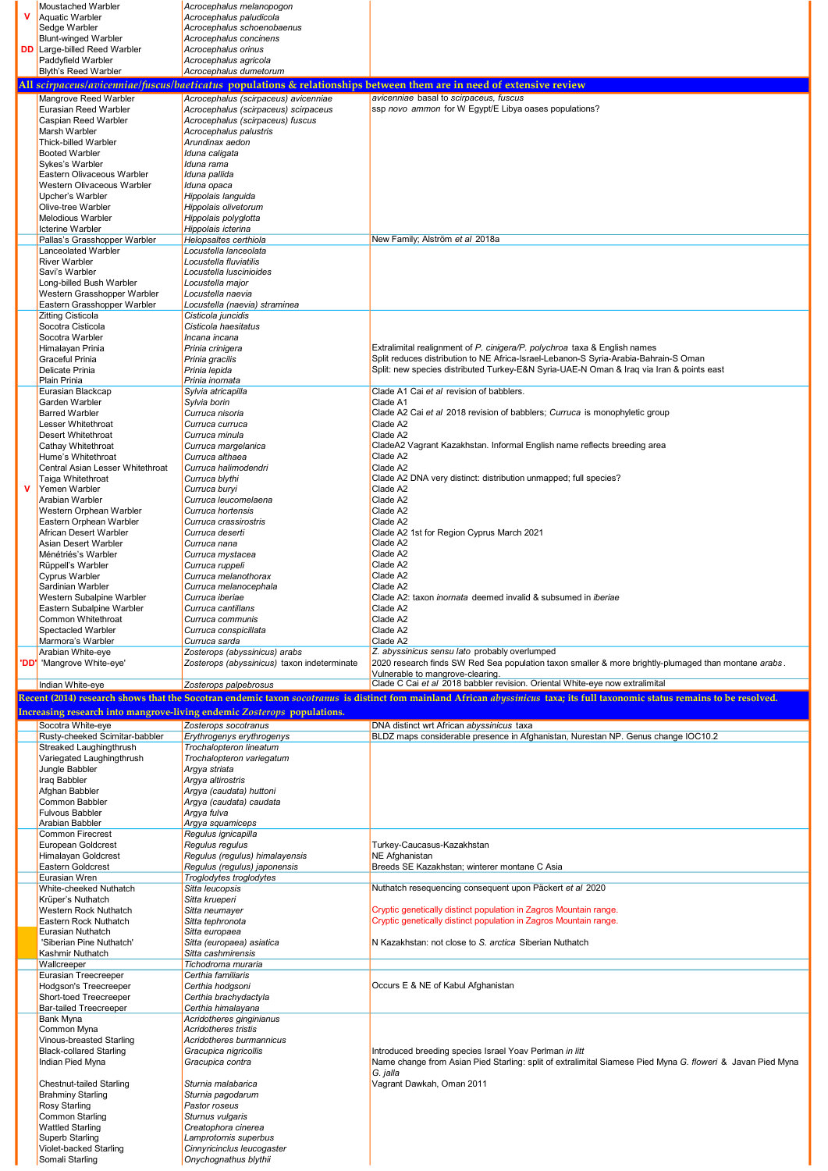|   | Moustached Warbler                                          | Acrocephalus melanopogon                                                |                                                                                                                                                                              |
|---|-------------------------------------------------------------|-------------------------------------------------------------------------|------------------------------------------------------------------------------------------------------------------------------------------------------------------------------|
|   | Aquatic Warbler                                             | Acrocephalus paludicola                                                 |                                                                                                                                                                              |
|   | Sedge Warbler<br><b>Blunt-winged Warbler</b>                | Acrocephalus schoenobaenus<br>Acrocephalus concinens                    |                                                                                                                                                                              |
|   | <b>DD</b> Large-billed Reed Warbler                         | Acrocephalus orinus                                                     |                                                                                                                                                                              |
|   | Paddyfield Warbler                                          | Acrocephalus agricola                                                   |                                                                                                                                                                              |
|   | <b>Blyth's Reed Warbler</b>                                 | Acrocephalus dumetorum                                                  |                                                                                                                                                                              |
|   |                                                             |                                                                         | All scirpaceus/avicenniae/fuscus/baeticatus populations & relationships between them are in need of extensive review                                                         |
|   | Mangrove Reed Warbler                                       | Acrocephalus (scirpaceus) avicenniae                                    | avicenniae basal to scirpaceus, fuscus                                                                                                                                       |
|   | Eurasian Reed Warbler                                       | Acrocephalus (scirpaceus) scirpaceus                                    | ssp novo ammon for W Egypt/E Libya oases populations?                                                                                                                        |
|   | Caspian Reed Warbler<br><b>Marsh Warbler</b>                | Acrocephalus (scirpaceus) fuscus                                        |                                                                                                                                                                              |
|   | Thick-billed Warbler                                        | Acrocephalus palustris<br>Arundinax aedon                               |                                                                                                                                                                              |
|   | <b>Booted Warbler</b>                                       | Iduna caligata                                                          |                                                                                                                                                                              |
|   | Sykes's Warbler                                             | Iduna rama                                                              |                                                                                                                                                                              |
|   | Eastern Olivaceous Warbler                                  | Iduna pallida                                                           |                                                                                                                                                                              |
|   | Western Olivaceous Warbler                                  | Iduna opaca                                                             |                                                                                                                                                                              |
|   | Upcher's Warbler<br>Olive-tree Warbler                      | Hippolais languida                                                      |                                                                                                                                                                              |
|   | <b>Melodious Warbler</b>                                    | Hippolais olivetorum<br>Hippolais polyglotta                            |                                                                                                                                                                              |
|   | <b>Icterine Warbler</b>                                     | Hippolais icterina                                                      |                                                                                                                                                                              |
|   | Pallas's Grasshopper Warbler                                | Helopsaltes certhiola                                                   | New Family; Alström et al 2018a                                                                                                                                              |
|   | Lanceolated Warbler                                         | Locustella lanceolata                                                   |                                                                                                                                                                              |
|   | <b>River Warbler</b>                                        | Locustella fluviatilis                                                  |                                                                                                                                                                              |
|   | Savi's Warbler<br>Long-billed Bush Warbler                  | Locustella luscinioides<br>Locustella major                             |                                                                                                                                                                              |
|   | Western Grasshopper Warbler                                 | Locustella naevia                                                       |                                                                                                                                                                              |
|   | Eastern Grasshopper Warbler                                 | Locustella (naevia) straminea                                           |                                                                                                                                                                              |
|   | <b>Zitting Cisticola</b>                                    | Cisticola juncidis                                                      |                                                                                                                                                                              |
|   | Socotra Cisticola                                           | Cisticola haesitatus                                                    |                                                                                                                                                                              |
|   | Socotra Warbler<br>Himalayan Prinia                         | Incana incana<br>Prinia crinigera                                       | Extralimital realignment of P. cinigera/P. polychroa taxa & English names                                                                                                    |
|   | <b>Graceful Prinia</b>                                      | Prinia gracilis                                                         | Split reduces distribution to NE Africa-Israel-Lebanon-S Syria-Arabia-Bahrain-S Oman                                                                                         |
|   | <b>Delicate Prinia</b>                                      | Prinia lepida                                                           | Split: new species distributed Turkey-E&N Syria-UAE-N Oman & Iraq via Iran & points east                                                                                     |
|   | Plain Prinia                                                | Prinia inornata                                                         |                                                                                                                                                                              |
|   | Eurasian Blackcap<br>Garden Warbler                         | Sylvia atricapilla                                                      | Clade A1 Cai et al revision of babblers.                                                                                                                                     |
|   | <b>Barred Warbler</b>                                       | Sylvia borin<br>Curruca nisoria                                         | Clade A1<br>Clade A2 Cai et al 2018 revision of babblers; Curruca is monophyletic group                                                                                      |
|   | Lesser Whitethroat                                          | Curruca curruca                                                         | Clade A2                                                                                                                                                                     |
|   | Desert Whitethroat                                          | Curruca minula                                                          | Clade A2                                                                                                                                                                     |
|   | Cathay Whitethroat                                          | Curruca margelanica                                                     | CladeA2 Vagrant Kazakhstan. Informal English name reflects breeding area                                                                                                     |
|   | Hume's Whitethroat                                          | Curruca althaea                                                         | Clade A2                                                                                                                                                                     |
|   | Central Asian Lesser Whitethroat<br>Taiga Whitethroat       | Curruca halimodendri<br>Curruca blythi                                  | Clade A2<br>Clade A2 DNA very distinct: distribution unmapped; full species?                                                                                                 |
| v | Yemen Warbler                                               | Curruca buryi                                                           | Clade A2                                                                                                                                                                     |
|   | Arabian Warbler                                             | Curruca leucomelaena                                                    | Clade A2                                                                                                                                                                     |
|   | Western Orphean Warbler                                     | Curruca hortensis                                                       | Clade A2                                                                                                                                                                     |
|   | Eastern Orphean Warbler                                     | Curruca crassirostris                                                   | Clade A2                                                                                                                                                                     |
|   | African Desert Warbler<br>Asian Desert Warbler              | Curruca deserti<br>Curruca nana                                         | Clade A2 1st for Region Cyprus March 2021<br>Clade A2                                                                                                                        |
|   | Ménétriés's Warbler                                         | Curruca mystacea                                                        | Clade A2                                                                                                                                                                     |
|   | Rüppell's Warbler                                           | Curruca ruppeli                                                         | Clade A2                                                                                                                                                                     |
|   | <b>Cyprus Warbler</b>                                       | Curruca melanothorax                                                    | Clade A2                                                                                                                                                                     |
|   | Sardinian Warbler                                           | Curruca melanocephala                                                   | Clade A2                                                                                                                                                                     |
|   | Western Subalpine Warbler<br>Eastern Subalpine Warbler      | Curruca iberiae<br>Curruca cantillans                                   | Clade A2: taxon <i>inornata</i> deemed invalid & subsumed in <i>iberiae</i><br>Clade A2                                                                                      |
|   |                                                             | Curruca communis                                                        | Clade A2                                                                                                                                                                     |
|   | Common Whitethroat                                          |                                                                         |                                                                                                                                                                              |
|   | <b>Spectacled Warbler</b>                                   | Curruca conspicillata                                                   | Clade A2                                                                                                                                                                     |
|   | Marmora's Warbler                                           | Curruca sarda                                                           | Clade A2                                                                                                                                                                     |
|   | Arabian White-eye                                           | Zosterops (abyssinicus) arabs                                           | Z. abyssinicus sensu lato probably overlumped                                                                                                                                |
|   | 'DD' 'Mangrove White-eye'                                   | Zosterops (abyssinicus) taxon indeterminate                             | 2020 research finds SW Red Sea population taxon smaller & more brightly-plumaged than montane arabs.                                                                         |
|   | Indian White-eye                                            | Zosterops palpebrosus                                                   | Vulnerable to mangrove-clearing.<br>Clade C Cai et al 2018 babbler revision. Oriental White-eye now extralimital                                                             |
|   |                                                             |                                                                         | Recent (2014) research shows that the Socotran endemic taxon socotranus is distinct fom mainland African abussinicus taxa; its full taxonomic status remains to be resolved. |
|   |                                                             |                                                                         |                                                                                                                                                                              |
|   |                                                             | Increasing research into mangrove-living endemic Zosterops populations. |                                                                                                                                                                              |
|   | Socotra White-eye<br>Rusty-cheeked Scimitar-babbler         | Zosterops socotranus<br>Erythrogenys erythrogenys                       | DNA distinct wrt African abyssinicus taxa<br>BLDZ maps considerable presence in Afghanistan, Nurestan NP. Genus change IOC10.2                                               |
|   | Streaked Laughingthrush                                     | Trochalopteron lineatum                                                 |                                                                                                                                                                              |
|   | Variegated Laughingthrush                                   | Trochalopteron variegatum                                               |                                                                                                                                                                              |
|   | Jungle Babbler                                              | Argya striata                                                           |                                                                                                                                                                              |
|   | Iraq Babbler<br>Afghan Babbler                              | Argya altirostris<br>Argya (caudata) huttoni                            |                                                                                                                                                                              |
|   | Common Babbler                                              | Argya (caudata) caudata                                                 |                                                                                                                                                                              |
|   | <b>Fulvous Babbler</b>                                      | Argya fulva                                                             |                                                                                                                                                                              |
|   | <b>Arabian Babbler</b>                                      | Argya squamiceps                                                        |                                                                                                                                                                              |
|   | <b>Common Firecrest</b><br>European Goldcrest               | Regulus ignicapilla<br>Regulus regulus                                  | Turkey-Caucasus-Kazakhstan                                                                                                                                                   |
|   | Himalayan Goldcrest                                         | Regulus (regulus) himalayensis                                          | NE Afghanistan                                                                                                                                                               |
|   | <b>Eastern Goldcrest</b>                                    | Regulus (regulus) japonensis                                            | Breeds SE Kazakhstan; winterer montane C Asia                                                                                                                                |
|   | Eurasian Wren                                               | Troglodytes troglodytes                                                 |                                                                                                                                                                              |
|   | White-cheeked Nuthatch                                      | Sitta leucopsis                                                         | Nuthatch resequencing consequent upon Päckert et al 2020                                                                                                                     |
|   | Krüper's Nuthatch<br><b>Western Rock Nuthatch</b>           | Sitta krueperi<br>Sitta neumayer                                        | Cryptic genetically distinct population in Zagros Mountain range.                                                                                                            |
|   | Eastern Rock Nuthatch                                       | Sitta tephronota                                                        | Cryptic genetically distinct population in Zagros Mountain range.                                                                                                            |
|   | Eurasian Nuthatch                                           | Sitta europaea                                                          |                                                                                                                                                                              |
|   | 'Siberian Pine Nuthatch'                                    | Sitta (europaea) asiatica                                               | N Kazakhstan: not close to S. arctica Siberian Nuthatch                                                                                                                      |
|   | Kashmir Nuthatch<br>Wallcreeper                             | Sitta cashmirensis<br>Tichodroma muraria                                |                                                                                                                                                                              |
|   | Eurasian Treecreeper                                        | Certhia familiaris                                                      |                                                                                                                                                                              |
|   | <b>Hodgson's Treecreeper</b>                                | Certhia hodgsoni                                                        | Occurs E & NE of Kabul Afghanistan                                                                                                                                           |
|   | Short-toed Treecreeper                                      | Certhia brachydactyla                                                   |                                                                                                                                                                              |
|   | <b>Bar-tailed Treecreeper</b>                               | Certhia himalayana                                                      |                                                                                                                                                                              |
|   | <b>Bank Myna</b><br>Common Myna                             | Acridotheres ginginianus<br><b>Acridotheres tristis</b>                 |                                                                                                                                                                              |
|   | Vinous-breasted Starling                                    | Acridotheres burmannicus                                                |                                                                                                                                                                              |
|   | <b>Black-collared Starling</b>                              | Gracupica nigricollis                                                   | Introduced breeding species Israel Yoav Perlman in litt                                                                                                                      |
|   | Indian Pied Myna                                            | Gracupica contra                                                        | Name change from Asian Pied Starling: split of extralimital Siamese Pied Myna G. floweri & Javan Pied Myna                                                                   |
|   |                                                             |                                                                         | G. jalla                                                                                                                                                                     |
|   | <b>Chestnut-tailed Starling</b><br><b>Brahminy Starling</b> | Sturnia malabarica<br>Sturnia pagodarum                                 | Vagrant Dawkah, Oman 2011                                                                                                                                                    |
|   | <b>Rosy Starling</b>                                        | Pastor roseus                                                           |                                                                                                                                                                              |
|   | <b>Common Starling</b>                                      | Sturnus vulgaris                                                        |                                                                                                                                                                              |
|   | <b>Wattled Starling</b>                                     | Creatophora cinerea                                                     |                                                                                                                                                                              |
|   | Superb Starling<br>Violet-backed Starling                   | Lamprotornis superbus<br>Cinnyricinclus leucogaster                     |                                                                                                                                                                              |

×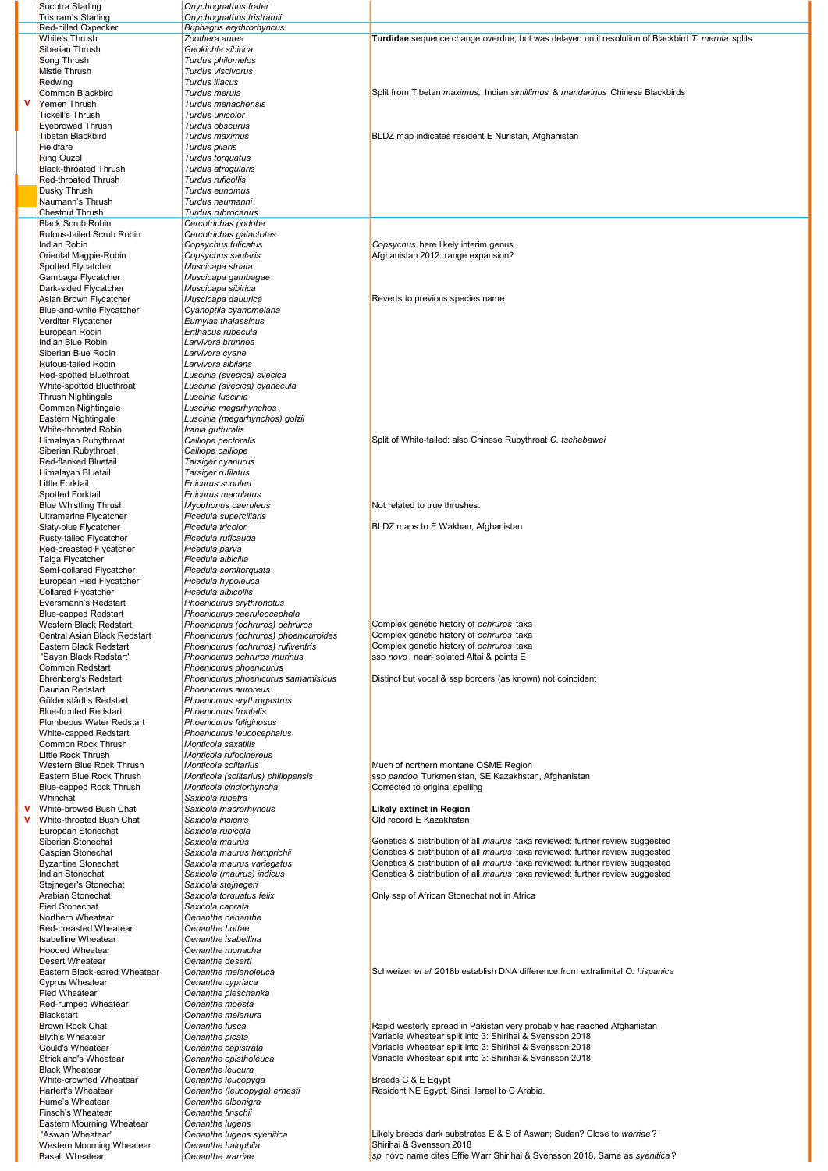| Socotra Starling                                     | Onychognathus frater                                           |                                                                                                                                                                              |
|------------------------------------------------------|----------------------------------------------------------------|------------------------------------------------------------------------------------------------------------------------------------------------------------------------------|
| Tristram's Starling<br>Red-billed Oxpecker           | Onychognathus tristramii<br><b>Buphagus erythrorhyncus</b>     |                                                                                                                                                                              |
| White's Thrush                                       | Zoothera aurea                                                 | Turdidae sequence change overdue, but was delayed until resolution of Blackbird T. merula splits.                                                                            |
| Siberian Thrush                                      | Geokichla sibirica                                             |                                                                                                                                                                              |
| Song Thrush                                          | Turdus philomelos                                              |                                                                                                                                                                              |
| Mistle Thrush                                        | Turdus viscivorus                                              |                                                                                                                                                                              |
| Redwing                                              | Turdus iliacus                                                 | Split from Tibetan maximus, Indian simillimus & mandarinus Chinese Blackbirds                                                                                                |
| Common Blackbird<br>Yemen Thrush                     | Turdus merula<br>Turdus menachensis                            |                                                                                                                                                                              |
| <b>Tickell's Thrush</b>                              | Turdus unicolor                                                |                                                                                                                                                                              |
| <b>Eyebrowed Thrush</b>                              | Turdus obscurus                                                |                                                                                                                                                                              |
| <b>Tibetan Blackbird</b>                             | Turdus maximus                                                 | BLDZ map indicates resident E Nuristan, Afghanistan                                                                                                                          |
| Fieldfare                                            | Turdus pilaris                                                 |                                                                                                                                                                              |
| <b>Ring Ouzel</b>                                    | Turdus torquatus                                               |                                                                                                                                                                              |
| <b>Black-throated Thrush</b><br>Red-throated Thrush  | Turdus atrogularis<br>Turdus ruficollis                        |                                                                                                                                                                              |
| Dusky Thrush                                         | Turdus eunomus                                                 |                                                                                                                                                                              |
| Naumann's Thrush                                     | Turdus naumanni                                                |                                                                                                                                                                              |
| <b>Chestnut Thrush</b>                               | Turdus rubrocanus                                              |                                                                                                                                                                              |
| <b>Black Scrub Robin</b>                             | Cercotrichas podobe                                            |                                                                                                                                                                              |
| Rufous-tailed Scrub Robin                            | Cercotrichas galactotes                                        |                                                                                                                                                                              |
| Indian Robin                                         | Copsychus fulicatus                                            | Copsychus here likely interim genus.                                                                                                                                         |
| Oriental Magpie-Robin<br>Spotted Flycatcher          | Copsychus saularis<br>Muscicapa striata                        | Afghanistan 2012: range expansion?                                                                                                                                           |
| Gambaga Flycatcher                                   | Muscicapa gambagae                                             |                                                                                                                                                                              |
| Dark-sided Flycatcher                                | Muscicapa sibirica                                             |                                                                                                                                                                              |
| Asian Brown Flycatcher                               | Muscicapa dauurica                                             | Reverts to previous species name                                                                                                                                             |
| Blue-and-white Flycatcher                            | Cyanoptila cyanomelana                                         |                                                                                                                                                                              |
| Verditer Flycatcher                                  | Eumyias thalassinus                                            |                                                                                                                                                                              |
| European Robin                                       | Erithacus rubecula                                             |                                                                                                                                                                              |
| Indian Blue Robin<br>Siberian Blue Robin             | Larvivora brunnea<br>Larvivora cyane                           |                                                                                                                                                                              |
| Rufous-tailed Robin                                  | Larvivora sibilans                                             |                                                                                                                                                                              |
| Red-spotted Bluethroat                               | Luscinia (svecica) svecica                                     |                                                                                                                                                                              |
| White-spotted Bluethroat                             | Luscinia (svecica) cyanecula                                   |                                                                                                                                                                              |
| Thrush Nightingale                                   | Luscinia Iuscinia                                              |                                                                                                                                                                              |
| Common Nightingale                                   | Luscinia megarhynchos                                          |                                                                                                                                                                              |
| Eastern Nightingale                                  | Luscinia (megarhynchos) golzii                                 |                                                                                                                                                                              |
| White-throated Robin                                 | Irania gutturalis                                              |                                                                                                                                                                              |
| Himalayan Rubythroat                                 | Calliope pectoralis                                            | Split of White-tailed: also Chinese Rubythroat C. tschebawei                                                                                                                 |
| Siberian Rubythroat<br>Red-flanked Bluetail          | Calliope calliope<br>Tarsiger cyanurus                         |                                                                                                                                                                              |
| Himalayan Bluetail                                   | Tarsiger rufilatus                                             |                                                                                                                                                                              |
| <b>Little Forktail</b>                               | Enicurus scouleri                                              |                                                                                                                                                                              |
| <b>Spotted Forktail</b>                              | Enicurus maculatus                                             |                                                                                                                                                                              |
| <b>Blue Whistling Thrush</b>                         | Myophonus caeruleus                                            | Not related to true thrushes.                                                                                                                                                |
| Ultramarine Flycatcher                               | Ficedula superciliaris                                         |                                                                                                                                                                              |
| Slaty-blue Flycatcher                                | Ficedula tricolor                                              | BLDZ maps to E Wakhan, Afghanistan                                                                                                                                           |
| Rusty-tailed Flycatcher                              | Ficedula ruficauda                                             |                                                                                                                                                                              |
| Red-breasted Flycatcher                              | Ficedula parva                                                 |                                                                                                                                                                              |
| Taiga Flycatcher                                     | Ficedula albicilla                                             |                                                                                                                                                                              |
| Semi-collared Flycatcher<br>European Pied Flycatcher | Ficedula semitorquata<br>Ficedula hypoleuca                    |                                                                                                                                                                              |
| <b>Collared Flycatcher</b>                           | Ficedula albicollis                                            |                                                                                                                                                                              |
| Eversmann's Redstart                                 | Phoenicurus erythronotus                                       |                                                                                                                                                                              |
| <b>Blue-capped Redstart</b>                          | Phoenicurus caeruleocephala                                    |                                                                                                                                                                              |
| Western Black Redstart                               | Phoenicurus (ochruros) ochruros                                | Complex genetic history of ochruros taxa                                                                                                                                     |
| Central Asian Black Redstart                         | Phoenicurus (ochruros) phoenicuroides                          | Complex genetic history of ochruros taxa                                                                                                                                     |
| Eastern Black Redstart                               | Phoenicurus (ochruros) rufiventris                             | Complex genetic history of ochruros taxa                                                                                                                                     |
| 'Sayan Black Redstart'                               | Phoenicurus ochruros murinus                                   | ssp novo, near-isolated Altai & points E                                                                                                                                     |
| Common Redstart<br>Ehrenberg's Redstart              | Phoenicurus phoenicurus<br>Phoenicurus phoenicurus samamisicus | Distinct but vocal & ssp borders (as known) not coincident                                                                                                                   |
| <b>Daurian Redstart</b>                              | Phoenicurus auroreus                                           |                                                                                                                                                                              |
| Güldenstädt's Redstart                               | Phoenicurus erythrogastrus                                     |                                                                                                                                                                              |
| <b>Blue-fronted Redstart</b>                         | Phoenicurus frontalis                                          |                                                                                                                                                                              |
| Plumbeous Water Redstart                             | Phoenicurus fuliginosus                                        |                                                                                                                                                                              |
| White-capped Redstart                                | Phoenicurus leucocephalus                                      |                                                                                                                                                                              |
| Common Rock Thrush                                   | Monticola saxatilis                                            |                                                                                                                                                                              |
| Little Rock Thrush                                   | Monticola rufocinereus<br>Monticola solitarius                 |                                                                                                                                                                              |
| Western Blue Rock Thrush<br>Eastern Blue Rock Thrush | Monticola (solitarius) philippensis                            | Much of northern montane OSME Region<br>ssp pandoo Turkmenistan, SE Kazakhstan, Afghanistan                                                                                  |
| Blue-capped Rock Thrush                              | Monticola cinclorhyncha                                        | Corrected to original spelling                                                                                                                                               |
| Whinchat                                             | Saxicola rubetra                                               |                                                                                                                                                                              |
| White-browed Bush Chat                               | Saxicola macrorhyncus                                          | Likely extinct in Region                                                                                                                                                     |
| White-throated Bush Chat                             | Saxicola insignis                                              | Old record E Kazakhstan                                                                                                                                                      |
| European Stonechat                                   | Saxicola rubicola                                              |                                                                                                                                                                              |
| Siberian Stonechat                                   | Saxicola maurus                                                | Genetics & distribution of all maurus taxa reviewed: further review suggested                                                                                                |
| Caspian Stonechat<br><b>Byzantine Stonechat</b>      | Saxicola maurus hemprichii<br>Saxicola maurus variegatus       | Genetics & distribution of all <i>maurus</i> taxa reviewed: further review suggested<br>Genetics & distribution of all <i>maurus</i> taxa reviewed: further review suggested |
| Indian Stonechat                                     | Saxicola (maurus) indicus                                      | Genetics & distribution of all <i>maurus</i> taxa reviewed: further review suggested                                                                                         |
| Stejneger's Stonechat                                | Saxicola stejnegeri                                            |                                                                                                                                                                              |
| Arabian Stonechat                                    | Saxicola torquatus felix                                       | Only ssp of African Stonechat not in Africa                                                                                                                                  |
| <b>Pied Stonechat</b>                                | Saxicola caprata                                               |                                                                                                                                                                              |
| Northern Wheatear                                    | Oenanthe oenanthe                                              |                                                                                                                                                                              |
| Red-breasted Wheatear                                | Oenanthe bottae                                                |                                                                                                                                                                              |
| Isabelline Wheatear                                  | Oenanthe isabellina                                            |                                                                                                                                                                              |
| <b>Hooded Wheatear</b><br>Desert Wheatear            | Oenanthe monacha<br>Oenanthe deserti                           |                                                                                                                                                                              |
| Eastern Black-eared Wheatear                         | Oenanthe melanoleuca                                           | Schweizer et al 2018b establish DNA difference from extralimital O. hispanica                                                                                                |
| <b>Cyprus Wheatear</b>                               | Oenanthe cypriaca                                              |                                                                                                                                                                              |
| Pied Wheatear                                        | Oenanthe pleschanka                                            |                                                                                                                                                                              |
| Red-rumped Wheatear                                  | Oenanthe moesta                                                |                                                                                                                                                                              |
| Blackstart                                           | Oenanthe melanura                                              |                                                                                                                                                                              |
| Brown Rock Chat                                      | Oenanthe fusca                                                 | Rapid westerly spread in Pakistan very probably has reached Afghanistan                                                                                                      |
| <b>Blyth's Wheatear</b>                              | Oenanthe picata                                                | Variable Wheatear split into 3: Shirihai & Svensson 2018                                                                                                                     |
| Gould's Wheatear<br>Strickland's Wheatear            | Oenanthe capistrata                                            | Variable Wheatear split into 3: Shirihai & Svensson 2018<br>Variable Wheatear split into 3: Shirihai & Svensson 2018                                                         |
| <b>Black Wheatear</b>                                | Oenanthe opistholeuca<br>Oenanthe leucura                      |                                                                                                                                                                              |
| White-crowned Wheatear                               | Oenanthe leucopyga                                             | Breeds C & E Eqypt                                                                                                                                                           |
| Hartert's Wheatear                                   | Oenanthe (leucopyga) ernesti                                   | Resident NE Eqypt, Sinai, Israel to C Arabia.                                                                                                                                |
| Hume's Wheatear                                      | Oenanthe albonigra                                             |                                                                                                                                                                              |
| Finsch's Wheatear                                    | Oenanthe finschii                                              |                                                                                                                                                                              |
| Eastern Mourning Wheatear                            | Oenanthe lugens                                                |                                                                                                                                                                              |
| 'Aswan Wheatear'                                     | Oenanthe lugens syenitica                                      | Likely breeds dark substrates E & S of Aswan; Sudan? Close to warriae?<br>Shirihai & Svensson 2018                                                                           |
| Western Mourning Wheatear<br><b>Basalt Wheatear</b>  | Oenanthe halophila<br>Oenanthe warriae                         | sp novo name cites Effie Warr Shirihai & Svensson 2018. Same as syenitica?                                                                                                   |
|                                                      |                                                                |                                                                                                                                                                              |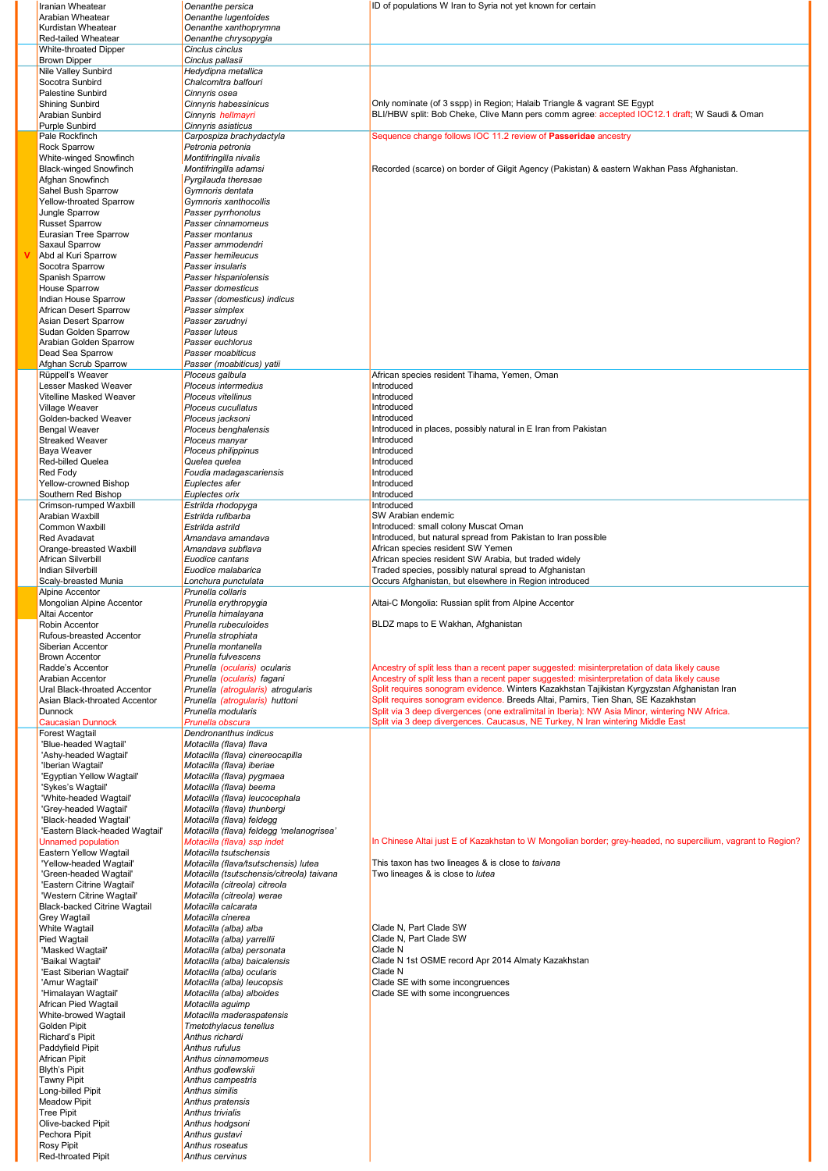| Iranian Wheatear                                      | Oenanthe persica                                                 | ID of populations W Iran to Syria not yet known for certain                                                                                                                                 |
|-------------------------------------------------------|------------------------------------------------------------------|---------------------------------------------------------------------------------------------------------------------------------------------------------------------------------------------|
| Arabian Wheatear                                      | Oenanthe lugentoides                                             |                                                                                                                                                                                             |
| Kurdistan Wheatear                                    | Oenanthe xanthoprymna                                            |                                                                                                                                                                                             |
| Red-tailed Wheatear                                   | Oenanthe chrysopygia                                             |                                                                                                                                                                                             |
| <b>White-throated Dipper</b>                          | Cinclus cinclus                                                  |                                                                                                                                                                                             |
| <b>Brown Dipper</b>                                   | Cinclus pallasii                                                 |                                                                                                                                                                                             |
| Nile Valley Sunbird<br>Socotra Sunbird                | Hedydipna metallica<br>Chalcomitra balfouri                      |                                                                                                                                                                                             |
| Palestine Sunbird                                     | Cinnyris osea                                                    |                                                                                                                                                                                             |
| <b>Shining Sunbird</b>                                | Cinnyris habessinicus                                            | Only nominate (of 3 sspp) in Region; Halaib Triangle & vagrant SE Egypt                                                                                                                     |
| Arabian Sunbird                                       | Cinnyris hellmayri                                               | BLI/HBW split: Bob Cheke, Clive Mann pers comm agree: accepted IOC12.1 draft; W Saudi & Oman                                                                                                |
| <b>Purple Sunbird</b>                                 | Cinnyris asiaticus                                               |                                                                                                                                                                                             |
| Pale Rockfinch                                        | Carpospiza brachydactyla                                         | Sequence change follows IOC 11.2 review of Passeridae ancestry                                                                                                                              |
| <b>Rock Sparrow</b>                                   | Petronia petronia                                                |                                                                                                                                                                                             |
| White-winged Snowfinch                                | Montifringilla nivalis                                           |                                                                                                                                                                                             |
| <b>Black-winged Snowfinch</b>                         | Montifringilla adamsi                                            | Recorded (scarce) on border of Gilgit Agency (Pakistan) & eastern Wakhan Pass Afghanistan.                                                                                                  |
| Afghan Snowfinch                                      | Pyrgilauda theresae                                              |                                                                                                                                                                                             |
| Sahel Bush Sparrow<br><b>Yellow-throated Sparrow</b>  | Gymnoris dentata<br>Gymnoris xanthocollis                        |                                                                                                                                                                                             |
| Jungle Sparrow                                        | Passer pyrrhonotus                                               |                                                                                                                                                                                             |
| <b>Russet Sparrow</b>                                 | Passer cinnamomeus                                               |                                                                                                                                                                                             |
| Eurasian Tree Sparrow                                 | Passer montanus                                                  |                                                                                                                                                                                             |
| Saxaul Sparrow                                        | Passer ammodendri                                                |                                                                                                                                                                                             |
| Abd al Kuri Sparrow                                   | Passer hemileucus                                                |                                                                                                                                                                                             |
| Socotra Sparrow                                       | Passer insularis                                                 |                                                                                                                                                                                             |
| Spanish Sparrow                                       | Passer hispaniolensis                                            |                                                                                                                                                                                             |
| <b>House Sparrow</b>                                  | Passer domesticus                                                |                                                                                                                                                                                             |
| Indian House Sparrow<br><b>African Desert Sparrow</b> | Passer (domesticus) indicus<br>Passer simplex                    |                                                                                                                                                                                             |
| Asian Desert Sparrow                                  | Passer zarudnyi                                                  |                                                                                                                                                                                             |
| Sudan Golden Sparrow                                  | Passer luteus                                                    |                                                                                                                                                                                             |
| Arabian Golden Sparrow                                | Passer euchlorus                                                 |                                                                                                                                                                                             |
| Dead Sea Sparrow                                      | Passer moabiticus                                                |                                                                                                                                                                                             |
| Afghan Scrub Sparrow                                  | Passer (moabiticus) yatii                                        |                                                                                                                                                                                             |
| Rüppell's Weaver                                      | Ploceus galbula                                                  | African species resident Tihama, Yemen, Oman                                                                                                                                                |
| <b>Lesser Masked Weaver</b>                           | Ploceus intermedius                                              | Introduced                                                                                                                                                                                  |
| Vitelline Masked Weaver                               | Ploceus vitellinus                                               | Introduced                                                                                                                                                                                  |
| Village Weaver                                        | Ploceus cucullatus                                               | Introduced                                                                                                                                                                                  |
| Golden-backed Weaver<br><b>Bengal Weaver</b>          | Ploceus jacksoni                                                 | Introduced<br>Introduced in places, possibly natural in E Iran from Pakistan                                                                                                                |
| <b>Streaked Weaver</b>                                | Ploceus benghalensis<br>Ploceus manyar                           | Introduced                                                                                                                                                                                  |
| Baya Weaver                                           | Ploceus philippinus                                              | Introduced                                                                                                                                                                                  |
| Red-billed Quelea                                     | Quelea quelea                                                    | Introduced                                                                                                                                                                                  |
| <b>Red Fody</b>                                       | Foudia madagascariensis                                          | Introduced                                                                                                                                                                                  |
| Yellow-crowned Bishop                                 | Euplectes afer                                                   | Introduced                                                                                                                                                                                  |
| Southern Red Bishop                                   | Euplectes orix                                                   | Introduced                                                                                                                                                                                  |
| Crimson-rumped Waxbill                                | Estrilda rhodopyga                                               | Introduced                                                                                                                                                                                  |
| Arabian Waxbill                                       | Estrilda rufibarba                                               | SW Arabian endemic                                                                                                                                                                          |
| Common Waxbill                                        | Estrilda astrild                                                 | Introduced: small colony Muscat Oman                                                                                                                                                        |
| <b>Red Avadavat</b><br>Orange-breasted Waxbill        | Amandava amandava<br>Amandava subflava                           | Introduced, but natural spread from Pakistan to Iran possible<br>African species resident SW Yemen                                                                                          |
| African Silverbill                                    | Euodice cantans                                                  | African species resident SW Arabia, but traded widely                                                                                                                                       |
| <b>Indian Silverbill</b>                              | Euodice malabarica                                               | Traded species, possibly natural spread to Afghanistan                                                                                                                                      |
|                                                       |                                                                  |                                                                                                                                                                                             |
|                                                       |                                                                  |                                                                                                                                                                                             |
| Scaly-breasted Munia<br>Alpine Accentor               | Lonchura punctulata<br>Prunella collaris                         | Occurs Afghanistan, but elsewhere in Region introduced                                                                                                                                      |
| Mongolian Alpine Accentor                             | Prunella erythropygia                                            | Altai-C Mongolia: Russian split from Alpine Accentor                                                                                                                                        |
| Altai Accentor                                        | Prunella himalayana                                              |                                                                                                                                                                                             |
| Robin Accentor                                        | Prunella rubeculoides                                            | BLDZ maps to E Wakhan, Afghanistan                                                                                                                                                          |
| Rufous-breasted Accentor                              | Prunella strophiata                                              |                                                                                                                                                                                             |
| Siberian Accentor                                     | Prunella montanella                                              |                                                                                                                                                                                             |
| <b>Brown Accentor</b>                                 | Prunella fulvescens                                              |                                                                                                                                                                                             |
| Radde's Accentor                                      | Prunella (ocularis) ocularis                                     | Ancestry of split less than a recent paper suggested: misinterpretation of data likely cause                                                                                                |
| Arabian Accentor<br>Ural Black-throated Accentor      | Prunella (ocularis) fagani<br>Prunella (atrogularis) atrogularis | Ancestry of split less than a recent paper suggested: misinterpretation of data likely cause<br>Split requires sonogram evidence. Winters Kazakhstan Tajikistan Kyrgyzstan Afghanistan Iran |
| Asian Black-throated Accentor                         | Prunella (atrogularis) huttoni                                   | Split requires sonogram evidence. Breeds Altai, Pamirs, Tien Shan, SE Kazakhstan                                                                                                            |
| Dunnock                                               | Prunella modularis                                               | Split via 3 deep divergences (one extralimital in Iberia): NW Asia Minor, wintering NW Africa.                                                                                              |
| <b>Caucasian Dunnock</b>                              | Prunella obscura                                                 | Split via 3 deep divergences. Caucasus, NE Turkey, N Iran wintering Middle East                                                                                                             |
| Forest Wagtail                                        | Dendronanthus indicus                                            |                                                                                                                                                                                             |
| 'Blue-headed Wagtail'                                 | Motacilla (flava) flava                                          |                                                                                                                                                                                             |
| 'Ashy-headed Wagtail'                                 | Motacilla (flava) cinereocapilla                                 |                                                                                                                                                                                             |
| 'Iberian Wagtail'                                     | Motacilla (flava) iberiae                                        |                                                                                                                                                                                             |
| 'Egyptian Yellow Wagtail'<br>'Sykes's Wagtail'        | Motacilla (flava) pygmaea<br>Motacilla (flava) beema             |                                                                                                                                                                                             |
| 'White-headed Wagtail'                                | Motacilla (flava) leucocephala                                   |                                                                                                                                                                                             |
| 'Grey-headed Wagtail'                                 | Motacilla (flava) thunbergi                                      |                                                                                                                                                                                             |
| 'Black-headed Wagtail'                                | Motacilla (flava) feldegg                                        |                                                                                                                                                                                             |
| 'Eastern Black-headed Wagtail'                        | Motacilla (flava) feldegg 'melanogrisea'                         |                                                                                                                                                                                             |
| <b>Unnamed population</b>                             | Motacilla (flava) ssp indet                                      | In Chinese Altai just E of Kazakhstan to W Mongolian border; grey-headed, no supercilium, vagrant to Region?                                                                                |
| Eastern Yellow Wagtail<br>'Yellow-headed Wagtail'     | Motacilla tsutschensis<br>Motacilla (flava/tsutschensis) lutea   | This taxon has two lineages & is close to taivana                                                                                                                                           |
| 'Green-headed Wagtail'                                | Motacilla (tsutschensis/citreola) taivana                        | Two lineages & is close to lutea                                                                                                                                                            |
| 'Eastern Citrine Wagtail'                             | Motacilla (citreola) citreola                                    |                                                                                                                                                                                             |
| 'Western Citrine Wagtail'                             | Motacilla (citreola) werae                                       |                                                                                                                                                                                             |
| Black-backed Citrine Wagtail                          | Motacilla calcarata                                              |                                                                                                                                                                                             |
| Grey Wagtail                                          | Motacilla cinerea                                                |                                                                                                                                                                                             |
| White Wagtail                                         | Motacilla (alba) alba                                            | Clade N, Part Clade SW                                                                                                                                                                      |
| Pied Wagtail                                          | Motacilla (alba) yarrellii                                       | Clade N, Part Clade SW                                                                                                                                                                      |
| 'Masked Wagtail'<br>'Baikal Wagtail'                  | Motacilla (alba) personata<br>Motacilla (alba) baicalensis       | Clade N<br>Clade N 1st OSME record Apr 2014 Almaty Kazakhstan                                                                                                                               |
| 'East Siberian Wagtail'                               | Motacilla (alba) ocularis                                        | Clade N                                                                                                                                                                                     |
| 'Amur Wagtail'                                        | Motacilla (alba) leucopsis                                       | Clade SE with some incongruences                                                                                                                                                            |
| 'Himalayan Wagtail'                                   | Motacilla (alba) alboides                                        | Clade SE with some incongruences                                                                                                                                                            |
| African Pied Wagtail                                  | Motacilla aguimp                                                 |                                                                                                                                                                                             |
| White-browed Wagtail                                  | Motacilla maderaspatensis                                        |                                                                                                                                                                                             |
| Golden Pipit                                          | Tmetothylacus tenellus                                           |                                                                                                                                                                                             |
| Richard's Pipit                                       | Anthus richardi                                                  |                                                                                                                                                                                             |
| Paddyfield Pipit<br>African Pipit                     | Anthus rufulus<br>Anthus cinnamomeus                             |                                                                                                                                                                                             |
| <b>Blyth's Pipit</b>                                  | Anthus godlewskii                                                |                                                                                                                                                                                             |
| <b>Tawny Pipit</b>                                    | Anthus campestris                                                |                                                                                                                                                                                             |
| Long-billed Pipit                                     | Anthus similis                                                   |                                                                                                                                                                                             |
| <b>Meadow Pipit</b>                                   | Anthus pratensis                                                 |                                                                                                                                                                                             |
| <b>Tree Pipit</b>                                     | Anthus trivialis                                                 |                                                                                                                                                                                             |
| Olive-backed Pipit                                    | Anthus hodgsoni                                                  |                                                                                                                                                                                             |
| Pechora Pipit<br>Rosy Pipit                           | Anthus gustavi<br>Anthus roseatus                                |                                                                                                                                                                                             |